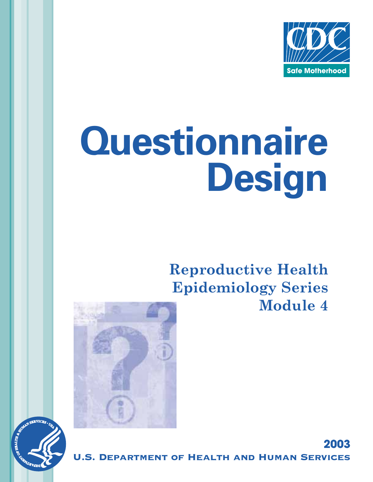

**2003** 

# **Questionnaire Design**

# **Reproductive Health Epidemiology Series Module 4**





**MENT OF HEALTH AND HUMAN SERVICES**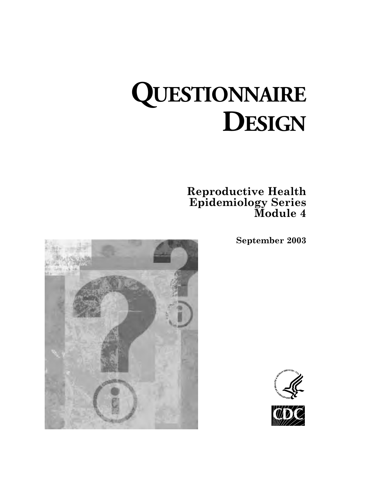# **QUESTIONNAIRE DESIGN**

**Reproductive Health Epidemiology Series Module 4** 

**September 2003** 





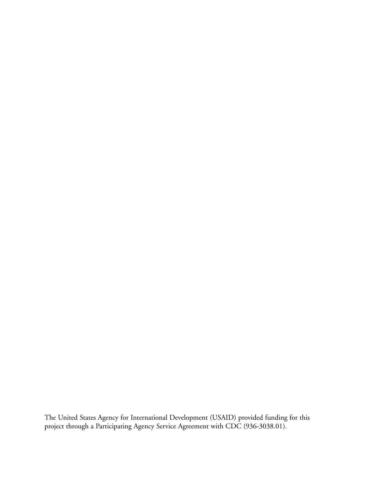The United States Agency for International Development (USAID) provided funding for this project through a Participating Agency Service Agreement with CDC (936-3038.01).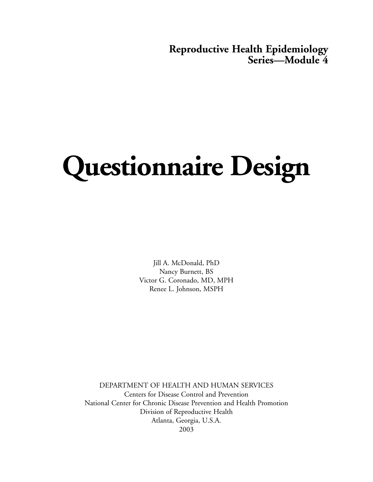## **Reproductive Health Epidemiology Series—Module 4**

# **Questionnaire Design**

Jill A. McDonald, PhD Nancy Burnett, BS Victor G. Coronado, MD, MPH Renee L. Johnson, MSPH

DEPARTMENT OF HEALTH AND HUMAN SERVICES Centers for Disease Control and Prevention National Center for Chronic Disease Prevention and Health Promotion Division of Reproductive Health Atlanta, Georgia, U.S.A. 2003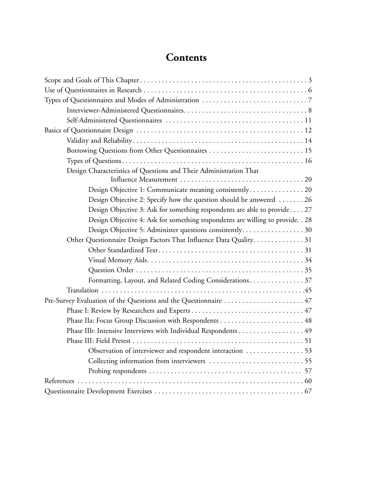# **Contents**

| Borrowing Questions from Other Questionnaires  15                                |  |
|----------------------------------------------------------------------------------|--|
|                                                                                  |  |
| Design Characteristics of Questions and Their Administration That                |  |
|                                                                                  |  |
|                                                                                  |  |
| Design Objective 2: Specify how the question should be answered $\dots \dots 26$ |  |
| Design Objective 3: Ask for something respondents are able to provide 27         |  |
| Design Objective 4: Ask for something respondents are willing to provide. . 28   |  |
| Design Objective 5: Administer questions consistently 30                         |  |
| Other Questionnaire Design Factors That Influence Data Quality31                 |  |
|                                                                                  |  |
|                                                                                  |  |
|                                                                                  |  |
| Formatting, Layout, and Related Coding Considerations 37                         |  |
|                                                                                  |  |
| Pre-Survey Evaluation of the Questions and the Questionnaire  47                 |  |
|                                                                                  |  |
| Phase IIa: Focus Group Discussion with Respondents  48                           |  |
| Phase IIb: Intensive Interviews with Individual Respondents 49                   |  |
|                                                                                  |  |
| Observation of interviewer and respondent interaction 53                         |  |
|                                                                                  |  |
|                                                                                  |  |
|                                                                                  |  |
|                                                                                  |  |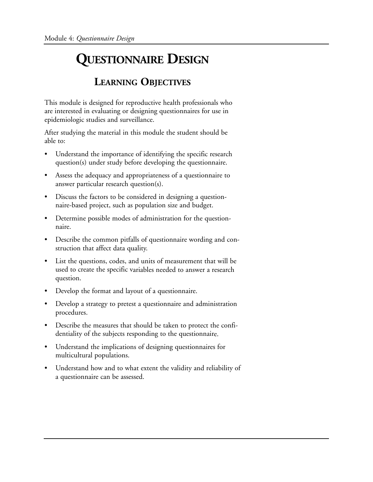# **QUESTIONNAIRE DESIGN**

# **LEARNING OBJECTIVES**

This module is designed for reproductive health professionals who are interested in evaluating or designing questionnaires for use in epidemiologic studies and surveillance.

After studying the material in this module the student should be able to:

- Understand the importance of identifying the specific research question(s) under study before developing the questionnaire.
- Assess the adequacy and appropriateness of a questionnaire to answer particular research question(s).
- Discuss the factors to be considered in designing a questionnaire-based project, such as population size and budget.
- Determine possible modes of administration for the questionnaire.
- Describe the common pitfalls of questionnaire wording and construction that affect data quality.
- • List the questions, codes, and units of measurement that will be used to create the specific variables needed to answer a research question.
- Develop the format and layout of a questionnaire.
- Develop a strategy to pretest a questionnaire and administration procedures.
- Describe the measures that should be taken to protect the confidentiality of the subjects responding to the questionnaire.
- Understand the implications of designing questionnaires for multicultural populations.
- Understand how and to what extent the validity and reliability of a questionnaire can be assessed.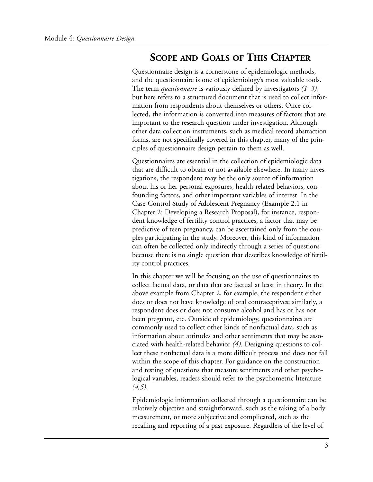# **SCOPE AND GOALS OF THIS CHAPTER**

Questionnaire design is a cornerstone of epidemiologic methods, and the questionnaire is one of epidemiology's most valuable tools. The term *questionnaire* is variously defined by investigators *(1–3)*, but here refers to a structured document that is used to collect information from respondents about themselves or others. Once collected, the information is converted into measures of factors that are important to the research question under investigation. Although other data collection instruments, such as medical record abstraction forms, are not specifically covered in this chapter, many of the principles of questionnaire design pertain to them as well.

Questionnaires are essential in the collection of epidemiologic data that are difficult to obtain or not available elsewhere. In many investigations, the respondent may be the only source of information about his or her personal exposures, health-related behaviors, confounding factors, and other important variables of interest. In the Case-Control Study of Adolescent Pregnancy (Example 2.1 in Chapter 2: Developing a Research Proposal), for instance, respondent knowledge of fertility control practices, a factor that may be predictive of teen pregnancy, can be ascertained only from the couples participating in the study. Moreover, this kind of information can often be collected only indirectly through a series of questions because there is no single question that describes knowledge of fertility control practices.

In this chapter we will be focusing on the use of questionnaires to collect factual data, or data that are factual at least in theory. In the above example from Chapter 2, for example, the respondent either does or does not have knowledge of oral contraceptives; similarly, a respondent does or does not consume alcohol and has or has not been pregnant, etc. Outside of epidemiology, questionnaires are commonly used to collect other kinds of nonfactual data, such as information about attitudes and other sentiments that may be associated with health-related behavior *(4)*. Designing questions to collect these nonfactual data is a more difficult process and does not fall within the scope of this chapter. For guidance on the construction and testing of questions that measure sentiments and other psychological variables, readers should refer to the psychometric literature *(4,5)*.

Epidemiologic information collected through a questionnaire can be relatively objective and straightforward, such as the taking of a body measurement, or more subjective and complicated, such as the recalling and reporting of a past exposure. Regardless of the level of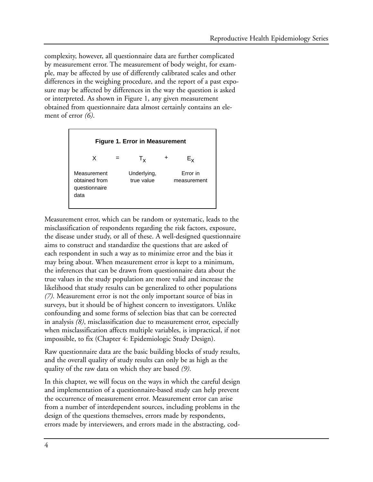complexity, however, all questionnaire data are further complicated by measurement error. The measurement of body weight, for example, may be affected by use of differently calibrated scales and other differences in the weighing procedure, and the report of a past exposure may be affected by differences in the way the question is asked or interpreted. As shown in Figure 1, any given measurement obtained from questionnaire data almost certainly contains an element of error *(6)*.



Measurement error, which can be random or systematic, leads to the misclassification of respondents regarding the risk factors, exposure, the disease under study, or all of these. A well-designed questionnaire aims to construct and standardize the questions that are asked of each respondent in such a way as to minimize error and the bias it may bring about. When measurement error is kept to a minimum, the inferences that can be drawn from questionnaire data about the true values in the study population are more valid and increase the likelihood that study results can be generalized to other populations *(7)*. Measurement error is not the only important source of bias in surveys, but it should be of highest concern to investigators. Unlike confounding and some forms of selection bias that can be corrected in analysis *(8)*, misclassification due to measurement error, especially when misclassification affects multiple variables, is impractical, if not impossible, to fix (Chapter 4: Epidemiologic Study Design).

Raw questionnaire data are the basic building blocks of study results, and the overall quality of study results can only be as high as the quality of the raw data on which they are based *(9)*.

In this chapter, we will focus on the ways in which the careful design and implementation of a questionnaire-based study can help prevent the occurrence of measurement error. Measurement error can arise from a number of interdependent sources, including problems in the design of the questions themselves, errors made by respondents, errors made by interviewers, and errors made in the abstracting, cod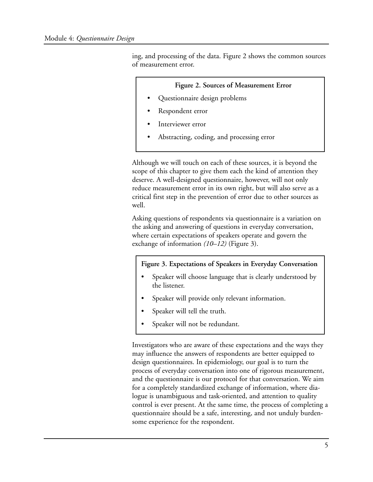ing, and processing of the data. Figure 2 shows the common sources of measurement error.

#### **Figure 2. Sources of Measurement Error**

- Questionnaire design problems
- Respondent error
- Interviewer error
- Abstracting, coding, and processing error

Although we will touch on each of these sources, it is beyond the scope of this chapter to give them each the kind of attention they deserve. A well-designed questionnaire, however, will not only reduce measurement error in its own right, but will also serve as a critical first step in the prevention of error due to other sources as well.

Asking questions of respondents via questionnaire is a variation on the asking and answering of questions in everyday conversation, where certain expectations of speakers operate and govern the exchange of information *(10–12)* (Figure 3).

#### **Figure 3. Expectations of Speakers in Everyday Conversation**

- Speaker will choose language that is clearly understood by the listener.
- Speaker will provide only relevant information.
- Speaker will tell the truth.
- Speaker will not be redundant.

Investigators who are aware of these expectations and the ways they may influence the answers of respondents are better equipped to design questionnaires. In epidemiology, our goal is to turn the process of everyday conversation into one of rigorous measurement, and the questionnaire is our protocol for that conversation. We aim for a completely standardized exchange of information, where dialogue is unambiguous and task-oriented, and attention to quality control is ever present. At the same time, the process of completing a questionnaire should be a safe, interesting, and not unduly burdensome experience for the respondent.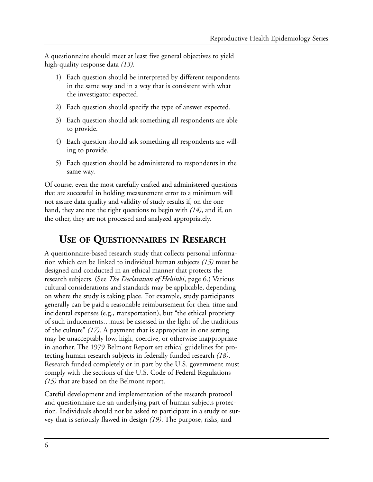A questionnaire should meet at least five general objectives to yield high-quality response data *(13)*.

- 1) Each question should be interpreted by different respondents in the same way and in a way that is consistent with what the investigator expected.
- 2) Each question should specify the type of answer expected.
- 3) Each question should ask something all respondents are able to provide.
- 4) Each question should ask something all respondents are willing to provide.
- 5) Each question should be administered to respondents in the same way.

Of course, even the most carefully crafted and administered questions that are successful in holding measurement error to a minimum will not assure data quality and validity of study results if, on the one hand, they are not the right questions to begin with *(14)*, and if, on the other, they are not processed and analyzed appropriately.

# **USE OF QUESTIONNAIRES IN RESEARCH**

A questionnaire-based research study that collects personal information which can be linked to individual human subjects *(15)* must be designed and conducted in an ethical manner that protects the research subjects. (See *The Declaration of Helsinki*, page 6.) Various cultural considerations and standards may be applicable, depending on where the study is taking place. For example, study participants generally can be paid a reasonable reimbursement for their time and incidental expenses (e.g., transportation), but "the ethical propriety of such inducements…must be assessed in the light of the traditions of the culture" *(17)*. A payment that is appropriate in one setting may be unacceptably low, high, coercive, or otherwise inappropriate in another. The 1979 Belmont Report set ethical guidelines for protecting human research subjects in federally funded research *(18)*. Research funded completely or in part by the U.S. government must comply with the sections of the U.S. Code of Federal Regulations *(15)* that are based on the Belmont report.

Careful development and implementation of the research protocol and questionnaire are an underlying part of human subjects protection. Individuals should not be asked to participate in a study or survey that is seriously flawed in design *(19)*. The purpose, risks, and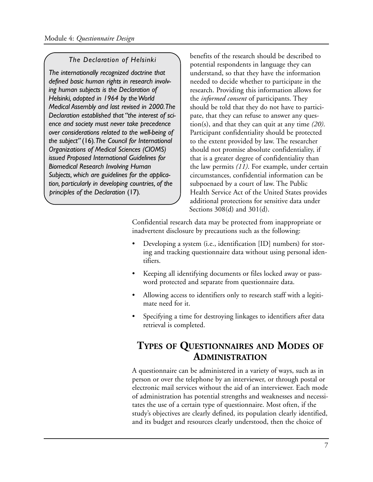#### *The Declaration of Helsinki*

*The internationally recognized doctrine that defined basic human rights in research involving human subjects is the Declaration of Helsinki, adopted in 1964 by the World Medical Assembly and last revised in 2000.The Declaration established that "the interest of science and society must never take precedence over considerations related to the well-being of the subject"* (16)*.The Council for International Organizations of Medical Sciences (CIOMS) issued Proposed International Guidelines for Biomedical Research Involving Human Subjects, which are guidelines for the application, particularly in developing countries, of the principles of the Declaration* (17)*.* 

benefits of the research should be described to potential respondents in language they can understand, so that they have the information needed to decide whether to participate in the research. Providing this information allows for the *informed consent* of participants. They should be told that they do not have to participate, that they can refuse to answer any question(s), and that they can quit at any time *(20)*. Participant confidentiality should be protected to the extent provided by law. The researcher should not promise absolute confidentiality, if that is a greater degree of confidentiality than the law permits *(11)*. For example, under certain circumstances, confidential information can be subpoenaed by a court of law. The Public Health Service Act of the United States provides additional protections for sensitive data under Sections 308(d) and 301(d).

Confidential research data may be protected from inappropriate or inadvertent disclosure by precautions such as the following:

- Developing a system (i.e., identification [ID] numbers) for storing and tracking questionnaire data without using personal identifiers.
- Keeping all identifying documents or files locked away or password protected and separate from questionnaire data.
- Allowing access to identifiers only to research staff with a legitimate need for it.
- Specifying a time for destroying linkages to identifiers after data retrieval is completed.

# **TYPES OF QUESTIONNAIRES AND MODES OF ADMINISTRATION**

A questionnaire can be administered in a variety of ways, such as in person or over the telephone by an interviewer, or through postal or electronic mail services without the aid of an interviewer. Each mode of administration has potential strengths and weaknesses and necessitates the use of a certain type of questionnaire. Most often, if the study's objectives are clearly defined, its population clearly identified, and its budget and resources clearly understood, then the choice of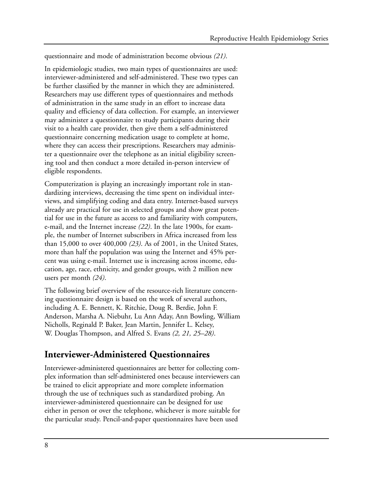questionnaire and mode of administration become obvious *(21)*.

In epidemiologic studies, two main types of questionnaires are used: interviewer-administered and self-administered. These two types can be further classified by the manner in which they are administered. Researchers may use different types of questionnaires and methods of administration in the same study in an effort to increase data quality and efficiency of data collection. For example, an interviewer may administer a questionnaire to study participants during their visit to a health care provider, then give them a self-administered questionnaire concerning medication usage to complete at home, where they can access their prescriptions. Researchers may administer a questionnaire over the telephone as an initial eligibility screening tool and then conduct a more detailed in-person interview of eligible respondents.

Computerization is playing an increasingly important role in standardizing interviews, decreasing the time spent on individual interviews, and simplifying coding and data entry. Internet-based surveys already are practical for use in selected groups and show great potential for use in the future as access to and familiarity with computers, e-mail, and the Internet increase *(22)*. In the late 1900s, for example, the number of Internet subscribers in Africa increased from less than 15,000 to over 400,000 *(23)*. As of 2001, in the United States, more than half the population was using the Internet and 45% percent was using e-mail. Internet use is increasing across income, education, age, race, ethnicity, and gender groups, with 2 million new users per month *(24)*.

The following brief overview of the resource-rich literature concerning questionnaire design is based on the work of several authors, including A. E. Bennett, K. Ritchie, Doug R. Berdie, John F. Anderson, Marsha A. Niebuhr, Lu Ann Aday, Ann Bowling, William Nicholls, Reginald P. Baker, Jean Martin, Jennifer L. Kelsey, W. Douglas Thompson, and Alfred S. Evans *(2, 21, 25–28)*.

### **Interviewer-Administered Questionnaires**

Interviewer-administered questionnaires are better for collecting complex information than self-administered ones because interviewers can be trained to elicit appropriate and more complete information through the use of techniques such as standardized probing. An interviewer-administered questionnaire can be designed for use either in person or over the telephone, whichever is more suitable for the particular study. Pencil-and-paper questionnaires have been used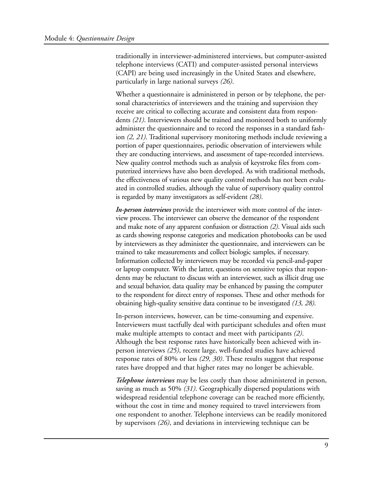traditionally in interviewer-administered interviews, but computer-assisted telephone interviews (CATI) and computer-assisted personal interviews (CAPI) are being used increasingly in the United States and elsewhere, particularly in large national surveys *(26)*.

Whether a questionnaire is administered in person or by telephone, the personal characteristics of interviewers and the training and supervision they receive are critical to collecting accurate and consistent data from respondents *(21)*. Interviewers should be trained and monitored both to uniformly administer the questionnaire and to record the responses in a standard fashion *(2, 21)*. Traditional supervisory monitoring methods include reviewing a portion of paper questionnaires, periodic observation of interviewers while they are conducting interviews, and assessment of tape-recorded interviews. New quality control methods such as analysis of keystroke files from computerized interviews have also been developed. As with traditional methods, the effectiveness of various new quality control methods has not been evaluated in controlled studies, although the value of supervisory quality control is regarded by many investigators as self-evident *(28)*.

*In-person interviews* provide the interviewer with more control of the interview process. The interviewer can observe the demeanor of the respondent and make note of any apparent confusion or distraction *(2)*. Visual aids such as cards showing response categories and medication photobooks can be used by interviewers as they administer the questionnaire, and interviewers can be trained to take measurements and collect biologic samples, if necessary. Information collected by interviewers may be recorded via pencil-and-paper or laptop computer. With the latter, questions on sensitive topics that respondents may be reluctant to discuss with an interviewer, such as illicit drug use and sexual behavior, data quality may be enhanced by passing the computer to the respondent for direct entry of responses. These and other methods for obtaining high-quality sensitive data continue to be investigated *(13, 28)*.

In-person interviews, however, can be time-consuming and expensive. Interviewers must tactfully deal with participant schedules and often must make multiple attempts to contact and meet with participants *(2)*. Although the best response rates have historically been achieved with inperson interviews *(25)*, recent large, well-funded studies have achieved response rates of 80% or less *(29, 30)*. These results suggest that response rates have dropped and that higher rates may no longer be achievable.

*Telephone interviews* may be less costly than those administered in person, saving as much as 50% *(31)*. Geographically dispersed populations with widespread residential telephone coverage can be reached more efficiently, without the cost in time and money required to travel interviewers from one respondent to another. Telephone interviews can be readily monitored by supervisors *(26)*, and deviations in interviewing technique can be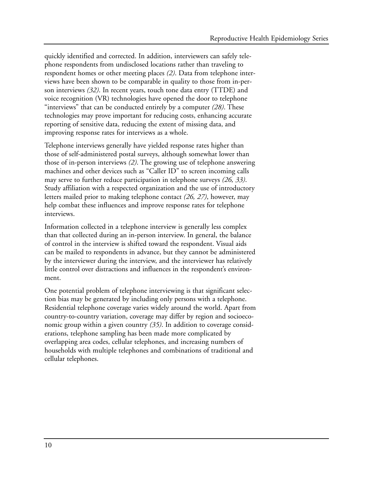quickly identified and corrected. In addition, interviewers can safely telephone respondents from undisclosed locations rather than traveling to respondent homes or other meeting places *(2)*. Data from telephone interviews have been shown to be comparable in quality to those from in-person interviews *(32)*. In recent years, touch tone data entry (TTDE) and voice recognition (VR) technologies have opened the door to telephone "interviews" that can be conducted entirely by a computer *(28)*. These technologies may prove important for reducing costs, enhancing accurate reporting of sensitive data, reducing the extent of missing data, and improving response rates for interviews as a whole.

Telephone interviews generally have yielded response rates higher than those of self-administered postal surveys, although somewhat lower than those of in-person interviews *(2)*. The growing use of telephone answering machines and other devices such as "Caller ID" to screen incoming calls may serve to further reduce participation in telephone surveys *(26, 33)*. Study affiliation with a respected organization and the use of introductory letters mailed prior to making telephone contact *(26, 27)*, however, may help combat these influences and improve response rates for telephone interviews.

Information collected in a telephone interview is generally less complex than that collected during an in-person interview. In general, the balance of control in the interview is shifted toward the respondent. Visual aids can be mailed to respondents in advance, but they cannot be administered by the interviewer during the interview, and the interviewer has relatively little control over distractions and influences in the respondent's environment.

One potential problem of telephone interviewing is that significant selection bias may be generated by including only persons with a telephone. Residential telephone coverage varies widely around the world. Apart from country-to-country variation, coverage may differ by region and socioeconomic group within a given country *(35)*. In addition to coverage considerations, telephone sampling has been made more complicated by overlapping area codes, cellular telephones, and increasing numbers of households with multiple telephones and combinations of traditional and cellular telephones.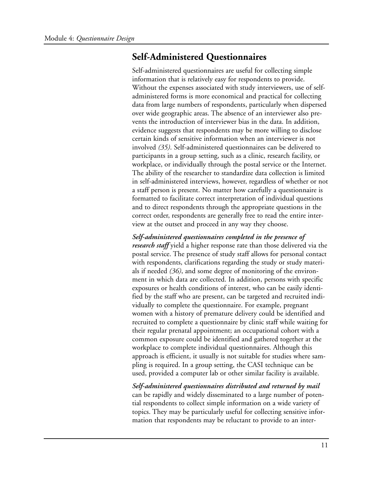### **Self-Administered Questionnaires**

Self-administered questionnaires are useful for collecting simple information that is relatively easy for respondents to provide. Without the expenses associated with study interviewers, use of selfadministered forms is more economical and practical for collecting data from large numbers of respondents, particularly when dispersed over wide geographic areas. The absence of an interviewer also prevents the introduction of interviewer bias in the data. In addition, evidence suggests that respondents may be more willing to disclose certain kinds of sensitive information when an interviewer is not involved *(35)*. Self-administered questionnaires can be delivered to participants in a group setting, such as a clinic, research facility, or workplace, or individually through the postal service or the Internet. The ability of the researcher to standardize data collection is limited in self-administered interviews, however, regardless of whether or not a staff person is present. No matter how carefully a questionnaire is formatted to facilitate correct interpretation of individual questions and to direct respondents through the appropriate questions in the correct order, respondents are generally free to read the entire interview at the outset and proceed in any way they choose.

*Self-administered questionnaires completed in the presence of research staff* yield a higher response rate than those delivered via the postal service. The presence of study staff allows for personal contact with respondents, clarifications regarding the study or study materials if needed *(36)*, and some degree of monitoring of the environment in which data are collected. In addition, persons with specific exposures or health conditions of interest, who can be easily identified by the staff who are present, can be targeted and recruited individually to complete the questionnaire. For example, pregnant women with a history of premature delivery could be identified and recruited to complete a questionnaire by clinic staff while waiting for their regular prenatal appointment; an occupational cohort with a common exposure could be identified and gathered together at the workplace to complete individual questionnaires. Although this approach is efficient, it usually is not suitable for studies where sampling is required. In a group setting, the CASI technique can be used, provided a computer lab or other similar facility is available.

*Self-administered questionnaires distributed and returned by mail*  can be rapidly and widely disseminated to a large number of potential respondents to collect simple information on a wide variety of topics. They may be particularly useful for collecting sensitive information that respondents may be reluctant to provide to an inter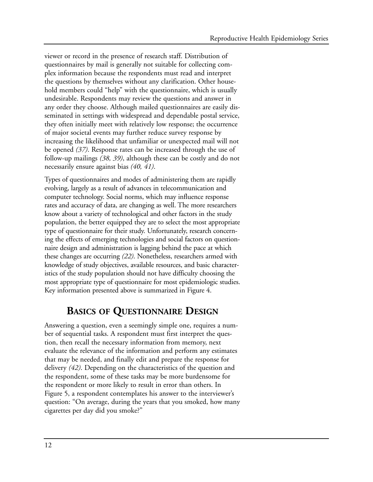viewer or record in the presence of research staff. Distribution of questionnaires by mail is generally not suitable for collecting complex information because the respondents must read and interpret the questions by themselves without any clarification. Other household members could "help" with the questionnaire, which is usually undesirable. Respondents may review the questions and answer in any order they choose. Although mailed questionnaires are easily disseminated in settings with widespread and dependable postal service, they often initially meet with relatively low response; the occurrence of major societal events may further reduce survey response by increasing the likelihood that unfamiliar or unexpected mail will not be opened *(37)*. Response rates can be increased through the use of follow-up mailings *(38, 39)*, although these can be costly and do not necessarily ensure against bias *(40, 41)*.

Types of questionnaires and modes of administering them are rapidly evolving, largely as a result of advances in telecommunication and computer technology. Social norms, which may influence response rates and accuracy of data, are changing as well. The more researchers know about a variety of technological and other factors in the study population, the better equipped they are to select the most appropriate type of questionnaire for their study. Unfortunately, research concerning the effects of emerging technologies and social factors on questionnaire design and administration is lagging behind the pace at which these changes are occurring *(22)*. Nonetheless, researchers armed with knowledge of study objectives, available resources, and basic characteristics of the study population should not have difficulty choosing the most appropriate type of questionnaire for most epidemiologic studies. Key information presented above is summarized in Figure 4.

# **BASICS OF QUESTIONNAIRE DESIGN**

Answering a question, even a seemingly simple one, requires a number of sequential tasks. A respondent must first interpret the question, then recall the necessary information from memory, next evaluate the relevance of the information and perform any estimates that may be needed, and finally edit and prepare the response for delivery *(42)*. Depending on the characteristics of the question and the respondent, some of these tasks may be more burdensome for the respondent or more likely to result in error than others. In Figure 5, a respondent contemplates his answer to the interviewer's question: "On average, during the years that you smoked, how many cigarettes per day did you smoke?"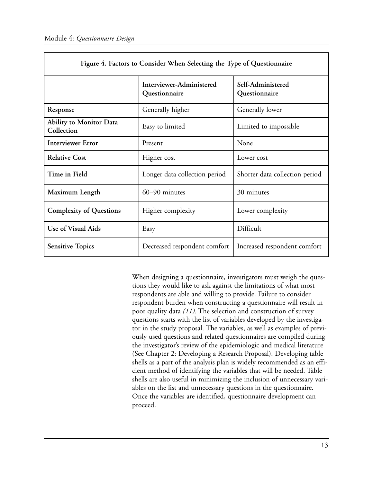| Figure 4. Factors to Consider When Selecting the Type of Questionnaire |                                           |                                    |  |  |
|------------------------------------------------------------------------|-------------------------------------------|------------------------------------|--|--|
|                                                                        | Interviewer-Administered<br>Questionnaire | Self-Administered<br>Questionnaire |  |  |
| Response                                                               | Generally higher                          | Generally lower                    |  |  |
| <b>Ability to Monitor Data</b><br>Collection                           | Easy to limited                           | Limited to impossible              |  |  |
| <b>Interviewer Error</b>                                               | Present                                   | None                               |  |  |
| <b>Relative Cost</b>                                                   | Higher cost                               | Lower cost                         |  |  |
| Time in Field                                                          | Longer data collection period             | Shorter data collection period     |  |  |
| Maximum Length                                                         | 60-90 minutes                             | 30 minutes                         |  |  |
| <b>Complexity of Questions</b>                                         | Higher complexity                         | Lower complexity                   |  |  |
| Use of Visual Aids                                                     | Easy                                      | Difficult                          |  |  |
| <b>Sensitive Topics</b>                                                | Decreased respondent comfort              | Increased respondent comfort       |  |  |

When designing a questionnaire, investigators must weigh the questions they would like to ask against the limitations of what most respondents are able and willing to provide. Failure to consider respondent burden when constructing a questionnaire will result in poor quality data *(11)*. The selection and construction of survey questions starts with the list of variables developed by the investigator in the study proposal. The variables, as well as examples of previously used questions and related questionnaires are compiled during the investigator's review of the epidemiologic and medical literature (See Chapter 2: Developing a Research Proposal). Developing table shells as a part of the analysis plan is widely recommended as an efficient method of identifying the variables that will be needed. Table shells are also useful in minimizing the inclusion of unnecessary variables on the list and unnecessary questions in the questionnaire. Once the variables are identified, questionnaire development can proceed.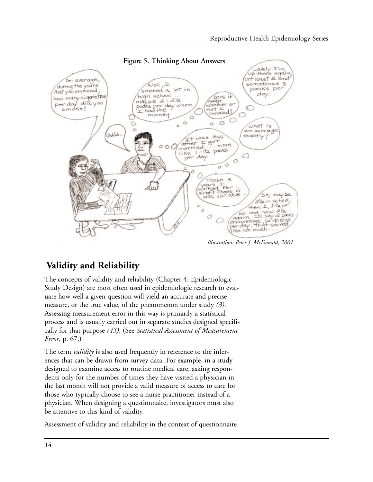

*Illustration: Peter J. McDonald, 2001* 

# **Validity and Reliability**

The concepts of validity and reliability (Chapter 4: Epidemiologic Study Design) are most often used in epidemiologic research to evaluate how well a given question will yield an accurate and precise measure, or the true value, of the phenomenon under study *(3)*. Assessing measurement error in this way is primarily a statistical process and is usually carried out in separate studies designed specifically for that purpose *(43)*. (See *Statistical Assessment of Measurement Error*, p. 67.)

The term *validity* is also used frequently in reference to the inferences that can be drawn from survey data. For example, in a study designed to examine access to routine medical care, asking respondents only for the number of times they have visited a physician in the last month will not provide a valid measure of access to care for those who typically choose to see a nurse practitioner instead of a physician. When designing a questionnaire, investigators must also be attentive to this kind of validity.

Assessment of validity and reliability in the context of questionnaire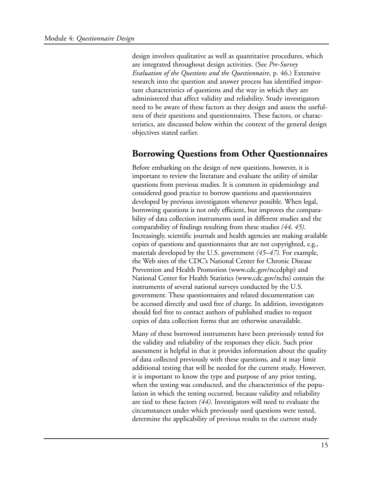design involves qualitative as well as quantitative procedures, which are integrated throughout design activities. (See *Pre-Survey Evaluation of the Questions and the Questionnaire*, p. 46.) Extensive research into the question and answer process has identified important characteristics of questions and the way in which they are administered that affect validity and reliability. Study investigators need to be aware of these factors as they design and assess the usefulness of their questions and questionnaires. These factors, or characteristics, are discussed below within the context of the general design objectives stated earlier.

#### **Borrowing Questions from Other Questionnaires**

Before embarking on the design of new questions, however, it is important to review the literature and evaluate the utility of similar questions from previous studies. It is common in epidemiology and considered good practice to borrow questions and questionnaires developed by previous investigators whenever possible. When legal, borrowing questions is not only efficient, but improves the comparability of data collection instruments used in different studies and the comparability of findings resulting from these studies *(44, 45)*. Increasingly, scientific journals and health agencies are making available copies of questions and questionnaires that are not copyrighted, e.g., materials developed by the U.S. government *(45–47)*. For example, the Web sites of the CDC's National Center for Chronic Disease Prevention and Health Promotion (www.cdc.gov/nccdphp) and National Center for Health Statistics (www.cdc.gov/nchs) contain the instruments of several national surveys conducted by the U.S. government. These questionnaires and related documentation can be accessed directly and used free of charge. In addition, investigators should feel free to contact authors of published studies to request copies of data collection forms that are otherwise unavailable.

Many of these borrowed instruments have been previously tested for the validity and reliability of the responses they elicit. Such prior assessment is helpful in that it provides information about the quality of data collected previously with these questions, and it may limit additional testing that will be needed for the current study. However, it is important to know the type and purpose of any prior testing, when the testing was conducted, and the characteristics of the population in which the testing occurred, because validity and reliability are tied to these factors *(44)*. Investigators will need to evaluate the circumstances under which previously used questions were tested, determine the applicability of previous results to the current study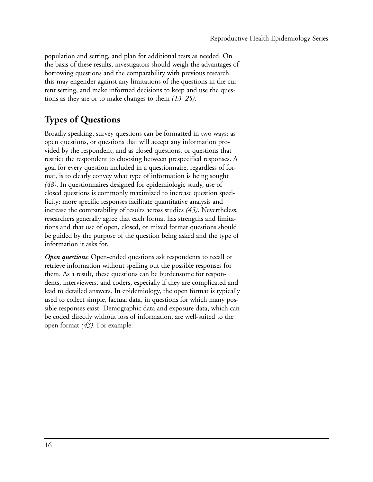population and setting, and plan for additional tests as needed. On the basis of these results, investigators should weigh the advantages of borrowing questions and the comparability with previous research this may engender against any limitations of the questions in the current setting, and make informed decisions to keep and use the questions as they are or to make changes to them *(13, 25)*.

# **Types of Questions**

Broadly speaking, survey questions can be formatted in two ways: as open questions, or questions that will accept any information provided by the respondent, and as closed questions, or questions that restrict the respondent to choosing between prespecified responses. A goal for every question included in a questionnaire, regardless of format, is to clearly convey what type of information is being sought *(48)*. In questionnaires designed for epidemiologic study, use of closed questions is commonly maximized to increase question specificity; more specific responses facilitate quantitative analysis and increase the comparability of results across studies *(45)*. Nevertheless, researchers generally agree that each format has strengths and limitations and that use of open, closed, or mixed format questions should be guided by the purpose of the question being asked and the type of information it asks for.

*Open questions*: Open-ended questions ask respondents to recall or retrieve information without spelling out the possible responses for them. As a result, these questions can be burdensome for respondents, interviewers, and coders, especially if they are complicated and lead to detailed answers. In epidemiology, the open format is typically used to collect simple, factual data, in questions for which many possible responses exist. Demographic data and exposure data, which can be coded directly without loss of information, are well-suited to the open format *(43)*. For example: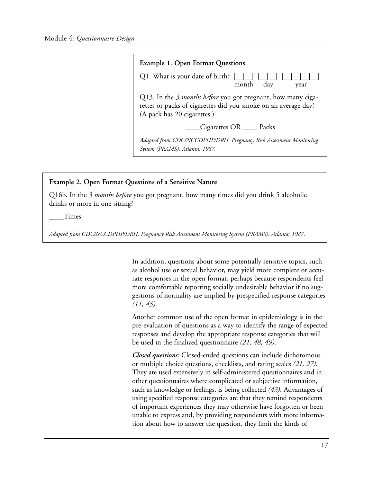

#### **Example 2. Open Format Questions of a Sensitive Nature**

Q16b. In the *3 months before* you got pregnant, how many times did you drink 5 alcoholic drinks or more in one sitting?

\_\_\_\_Times

*Adapted from CDC/NCCDPHP/DRH. Pregnancy Risk Assessment Monitoring System (PRAMS). Atlanta; 1987.* 

In addition, questions about some potentially sensitive topics, such as alcohol use or sexual behavior, may yield more complete or accurate responses in the open format, perhaps because respondents feel more comfortable reporting socially undesirable behavior if no suggestions of normality are implied by prespecified response categories *(11, 45)*.

Another common use of the open format in epidemiology is in the pre-evaluation of questions as a way to identify the range of expected responses and develop the appropriate response categories that will be used in the finalized questionnaire *(21, 48, 49)*.

*Closed questions:* Closed-ended questions can include dichotomous or multiple choice questions, checklists, and rating scales *(21, 27)*. They are used extensively in self-administered questionnaires and in other questionnaires where complicated or subjective information, such as knowledge or feelings, is being collected *(43)*. Advantages of using specified response categories are that they remind respondents of important experiences they may otherwise have forgotten or been unable to express and, by providing respondents with more information about how to answer the question, they limit the kinds of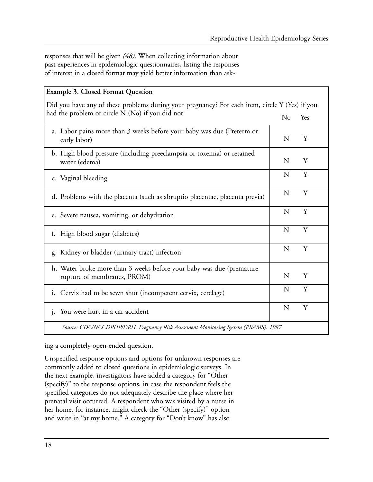responses that will be given *(48)*. When collecting information about past experiences in epidemiologic questionnaires, listing the responses of interest in a closed format may yield better information than ask-

| <b>Example 3. Closed Format Question</b>                                                            |   |     |  |  |
|-----------------------------------------------------------------------------------------------------|---|-----|--|--|
| Did you have any of these problems during your pregnancy? For each item, circle Y (Yes) if you      |   |     |  |  |
| had the problem or circle N (No) if you did not.                                                    |   | Yes |  |  |
| a. Labor pains more than 3 weeks before your baby was due (Preterm or<br>early labor)               | N | Y   |  |  |
| b. High blood pressure (including preeclampsia or toxemia) or retained<br>water (edema)             | N | Y   |  |  |
| c. Vaginal bleeding                                                                                 | N | Y   |  |  |
| d. Problems with the placenta (such as abruptio placentae, placenta previa)                         | N | Y   |  |  |
| e. Severe nausea, vomiting, or dehydration                                                          | N | Y   |  |  |
| High blood sugar (diabetes)<br>f.                                                                   | N | Y   |  |  |
| g. Kidney or bladder (urinary tract) infection                                                      | N | Y   |  |  |
| h. Water broke more than 3 weeks before your baby was due (premature<br>rupture of membranes, PROM) | N | Y   |  |  |
| i. Cervix had to be sewn shut (incompetent cervix, cerclage)                                        | N | Y   |  |  |
| You were hurt in a car accident<br>1.                                                               | N | Y   |  |  |
| Source: CDC/NCCDPHP/DRH. Pregnancy Risk Assessment Monitoring System (PRAMS). 1987.                 |   |     |  |  |

ing a completely open-ended question.

Unspecified response options and options for unknown responses are commonly added to closed questions in epidemiologic surveys. In the next example, investigators have added a category for "Other (specify)" to the response options, in case the respondent feels the specified categories do not adequately describe the place where her prenatal visit occurred. A respondent who was visited by a nurse in her home, for instance, might check the "Other (specify)" option and write in "at my home." A category for "Don't know" has also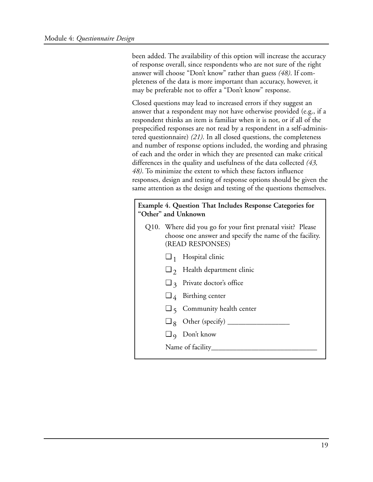been added. The availability of this option will increase the accuracy of response overall, since respondents who are not sure of the right answer will choose "Don't know" rather than guess *(48)*. If completeness of the data is more important than accuracy, however, it may be preferable not to offer a "Don't know" response.

Closed questions may lead to increased errors if they suggest an answer that a respondent may not have otherwise provided (e.g., if a respondent thinks an item is familiar when it is not, or if all of the prespecified responses are not read by a respondent in a self-administered questionnaire) *(21)*. In all closed questions, the completeness and number of response options included, the wording and phrasing of each and the order in which they are presented can make critical differences in the quality and usefulness of the data collected *(43, 48)*. To minimize the extent to which these factors influence responses, design and testing of response options should be given the same attention as the design and testing of the questions themselves.

**Example 4. Question That Includes Response Categories for "Other" and Unknown** 

- Q10. Where did you go for your first prenatal visit? Please choose one answer and specify the name of the facility. (READ RESPONSES)
	- $\Box$ <sub>1</sub> Hospital clinic
	- $\Box$  2 Health department clinic
	- $\Box$  3 Private doctor's office
	- $\Box$  4 Birthing center
	- $\Box$  5 Community health center
	- $\Box$  8 Other (specify)  $\Box$
	- $\Box$  9 Don't know
	- Name of facility\_\_\_\_\_\_\_\_\_\_\_\_\_\_\_\_\_\_\_\_\_\_\_\_\_\_\_\_\_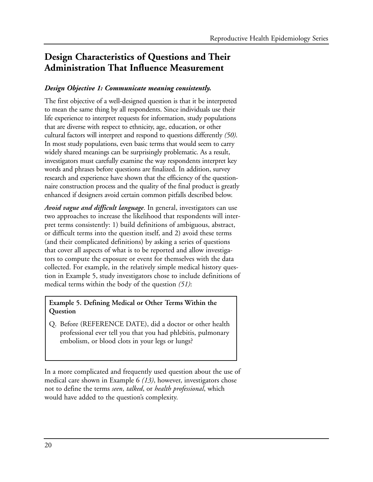# **Design Characteristics of Questions and Their Administration That Influence Measurement**

#### *Design Objective 1: Communicate meaning consistently.*

The first objective of a well-designed question is that it be interpreted to mean the same thing by all respondents. Since individuals use their life experience to interpret requests for information, study populations that are diverse with respect to ethnicity, age, education, or other cultural factors will interpret and respond to questions differently *(50)*. In most study populations, even basic terms that would seem to carry widely shared meanings can be surprisingly problematic. As a result, investigators must carefully examine the way respondents interpret key words and phrases before questions are finalized. In addition, survey research and experience have shown that the efficiency of the questionnaire construction process and the quality of the final product is greatly enhanced if designers avoid certain common pitfalls described below.

*Avoid vague and difficult language*. In general, investigators can use two approaches to increase the likelihood that respondents will interpret terms consistently: 1) build definitions of ambiguous, abstract, or difficult terms into the question itself, and 2) avoid these terms (and their complicated definitions) by asking a series of questions that cover all aspects of what is to be reported and allow investigators to compute the exposure or event for themselves with the data collected. For example, in the relatively simple medical history question in Example 5, study investigators chose to include definitions of medical terms within the body of the question *(51)*:

#### **Example 5. Defining Medical or Other Terms Within the Question**

Q. Before (REFERENCE DATE), did a doctor or other health professional ever tell you that you had phlebitis, pulmonary embolism, or blood clots in your legs or lungs?

In a more complicated and frequently used question about the use of medical care shown in Example 6 *(13)*, however, investigators chose not to define the terms *seen*, *talked*, or *health professional*, which would have added to the question's complexity.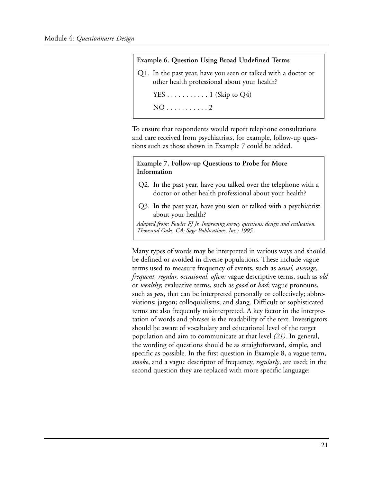

To ensure that respondents would report telephone consultations and care received from psychiatrists, for example, follow-up questions such as those shown in Example 7 could be added.

#### **Example 7. Follow-up Questions to Probe for More Information**

- Q2. In the past year, have you talked over the telephone with a doctor or other health professional about your health?
- Q3. In the past year, have you seen or talked with a psychiatrist about your health?

*Adapted from: Fowler FJ Jr. Improving survey questions: design and evaluation. Thousand Oaks, CA: Sage Publications, Inc.; 1995.* 

Many types of words may be interpreted in various ways and should be defined or avoided in diverse populations. These include vague terms used to measure frequency of events, such as *usual, average, frequent, regular, occasional, often;* vague descriptive terms, such as *old*  or *wealthy*; evaluative terms, such as *good* or *bad*; vague pronouns, such as *you*, that can be interpreted personally or collectively; abbreviations; jargon; colloquialisms; and slang. Difficult or sophisticated terms are also frequently misinterpreted. A key factor in the interpretation of words and phrases is the readability of the text. Investigators should be aware of vocabulary and educational level of the target population and aim to communicate at that level *(21)*. In general, the wording of questions should be as straightforward, simple, and specific as possible. In the first question in Example 8, a vague term, *smoke*, and a vague descriptor of frequency, *regularly*, are used; in the second question they are replaced with more specific language: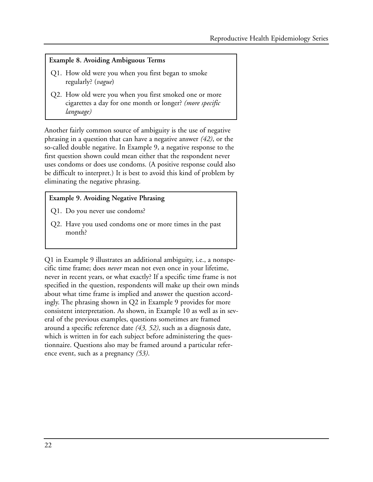#### **Example 8. Avoiding Ambiguous Terms**

- Q1. How old were you when you first began to smoke regularly? (*vague*)
- Q2. How old were you when you first smoked one or more cigarettes a day for one month or longer? *(more specific language)*

Another fairly common source of ambiguity is the use of negative phrasing in a question that can have a negative answer *(42)*, or the so-called double negative. In Example 9, a negative response to the first question shown could mean either that the respondent never uses condoms or does use condoms. (A positive response could also be difficult to interpret.) It is best to avoid this kind of problem by eliminating the negative phrasing.

#### **Example 9. Avoiding Negative Phrasing**

- Q1. Do you never use condoms?
- Q2. Have you used condoms one or more times in the past month?

Q1 in Example 9 illustrates an additional ambiguity, i.e., a nonspecific time frame; does *never* mean not even once in your lifetime, never in recent years, or what exactly? If a specific time frame is not specified in the question, respondents will make up their own minds about what time frame is implied and answer the question accordingly. The phrasing shown in Q2 in Example 9 provides for more consistent interpretation. As shown, in Example 10 as well as in several of the previous examples, questions sometimes are framed around a specific reference date *(43, 52)*, such as a diagnosis date, which is written in for each subject before administering the questionnaire. Questions also may be framed around a particular reference event, such as a pregnancy *(53)*.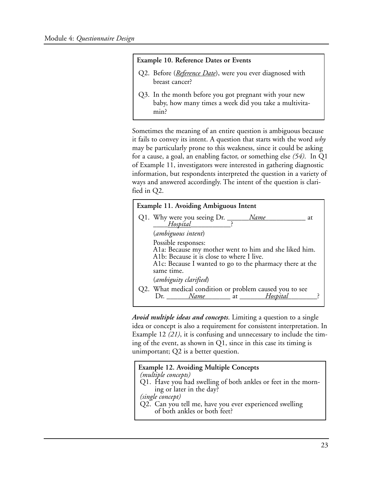#### **Example 10. Reference Dates or Events**

- Q2. Before (*Reference Date*), were you ever diagnosed with breast cancer?
- Q3. In the month before you got pregnant with your new baby, how many times a week did you take a multivitamin?

Sometimes the meaning of an entire question is ambiguous because it fails to convey its intent. A question that starts with the word *why*  may be particularly prone to this weakness, since it could be asking for a cause, a goal, an enabling factor, or something else *(54)*. In Q1 of Example 11, investigators were interested in gathering diagnostic information, but respondents interpreted the question in a variety of ways and answered accordingly. The intent of the question is clarified in Q2.

| <b>Example 11. Avoiding Ambiguous Intent</b> |                                                                                                                                                                                                     |  |  |  |
|----------------------------------------------|-----------------------------------------------------------------------------------------------------------------------------------------------------------------------------------------------------|--|--|--|
|                                              | Q1. Why were you seeing $Dr.$ $\_\_$<br>Name<br>at.<br>Hospital Hospital<br>$\ddot{\phantom{1}}$                                                                                                    |  |  |  |
|                                              | (ambiguous intent)                                                                                                                                                                                  |  |  |  |
|                                              | Possible responses:<br>A1a: Because my mother went to him and she liked him.<br>A1b: Because it is close to where I live.<br>A1c: Because I wanted to go to the pharmacy there at the<br>same time. |  |  |  |
|                                              | (ambiguity clarified)                                                                                                                                                                               |  |  |  |
|                                              | Q2. What medical condition or problem caused you to see<br>$Dr.$ <i>Name</i><br>at Hospital                                                                                                         |  |  |  |

*Avoid multiple ideas and concepts*. Limiting a question to a single idea or concept is also a requirement for consistent interpretation. In Example 12 *(21)*, it is confusing and unnecessary to include the timing of the event, as shown in Q1, since in this case its timing is unimportant; Q2 is a better question.

| <b>Example 12. Avoiding Multiple Concepts</b>                 |
|---------------------------------------------------------------|
| (multiple concepts)                                           |
| Q1. Have you had swelling of both ankles or feet in the morn- |
| ing or later in the day?                                      |
| (single concept)                                              |
| Q2. Can you tell me, have you ever experienced swelling       |
| of both ankles or both feet?                                  |
|                                                               |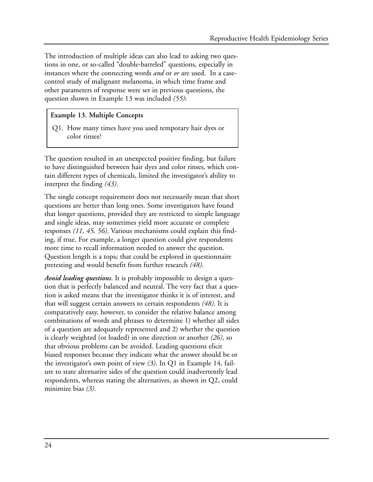The introduction of multiple ideas can also lead to asking two questions in one, or so-called "double-barreled" questions, especially in instances where the connecting words *and* or *or* are used. In a casecontrol study of malignant melanoma, in which time frame and other parameters of response were set in previous questions, the question shown in Example 13 was included *(55)*:

#### **Example 13. Multiple Concepts**

Q1. How many times have you used temporary hair dyes or color rinses?

The question resulted in an unexpected positive finding, but failure to have distinguished between hair dyes and color rinses, which contain different types of chemicals, limited the investigator's ability to interpret the finding *(43)*.

The single concept requirement does not necessarily mean that short questions are better than long ones. Some investigators have found that longer questions, provided they are restricted to simple language and single ideas, may sometimes yield more accurate or complete responses *(11, 45, 56)*. Various mechanisms could explain this finding, if true. For example, a longer question could give respondents more time to recall information needed to answer the question. Question length is a topic that could be explored in questionnaire pretesting and would benefit from further research *(48)*.

*Avoid leading questions*. It is probably impossible to design a question that is perfectly balanced and neutral. The very fact that a question is asked means that the investigator thinks it is of interest, and that will suggest certain answers to certain respondents *(48)*. It is comparatively easy, however, to consider the relative balance among combinations of words and phrases to determine 1) whether all sides of a question are adequately represented and 2) whether the question is clearly weighted (or loaded) in one direction or another *(26)*, so that obvious problems can be avoided. Leading questions elicit biased responses because they indicate what the answer should be or the investigator's own point of view *(3)*. In Q1 in Example 14, failure to state alternative sides of the question could inadvertently lead respondents, whereas stating the alternatives, as shown in Q2, could minimize bias *(3)*.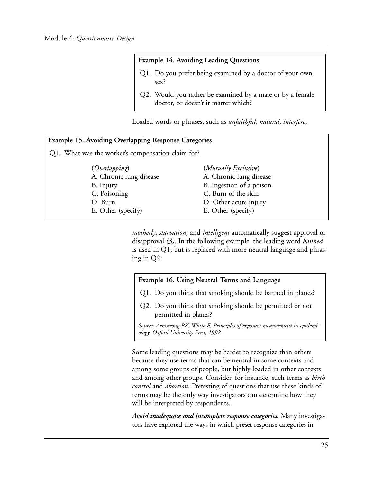#### **Example 14. Avoiding Leading Questions**

- Q1. Do you prefer being examined by a doctor of your own sex?
- Q2. Would you rather be examined by a male or by a female doctor, or doesn't it matter which?

Loaded words or phrases, such as *unfaithful*, *natural*, *interfere*,

| <b>Example 15. Avoiding Overlapping Response Categories</b> |                          |  |  |  |
|-------------------------------------------------------------|--------------------------|--|--|--|
| Q1. What was the worker's compensation claim for?           |                          |  |  |  |
| <i>(Overlapping)</i>                                        | (Mutually Exclusive)     |  |  |  |
| A. Chronic lung disease                                     | A. Chronic lung disease  |  |  |  |
| B. Injury                                                   | B. Ingestion of a poison |  |  |  |
| C. Poisoning                                                | C. Burn of the skin      |  |  |  |
| D. Burn                                                     | D. Other acute injury    |  |  |  |
| E. Other (specify)                                          | E. Other (specify)       |  |  |  |

*motherly*, *starvation*, and *intelligent* automatically suggest approval or disapproval *(3)*. In the following example, the leading word *banned*  is used in Q1, but is replaced with more neutral language and phrasing in Q2:

#### **Example 16. Using Neutral Terms and Language**

Q1. Do you think that smoking should be banned in planes?

Q2. Do you think that smoking should be permitted or not permitted in planes?

*Source: Armstrong BK, White E. Principles of exposure measurement in epidemiology. Oxford University Press; 1992.* 

Some leading questions may be harder to recognize than others because they use terms that can be neutral in some contexts and among some groups of people, but highly loaded in other contexts and among other groups. Consider, for instance, such terms as *birth control* and *abortion*. Pretesting of questions that use these kinds of terms may be the only way investigators can determine how they will be interpreted by respondents.

*Avoid inadequate and incomplete response categories*. Many investigators have explored the ways in which preset response categories in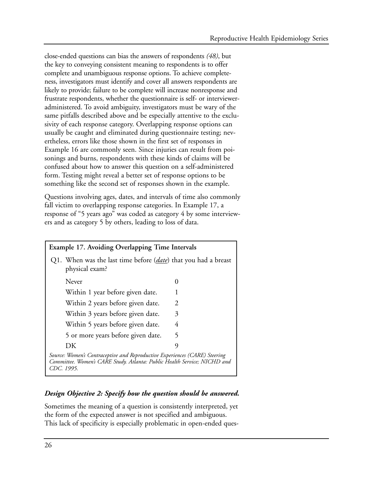close-ended questions can bias the answers of respondents *(48)*, but the key to conveying consistent meaning to respondents is to offer complete and unambiguous response options. To achieve completeness, investigators must identify and cover all answers respondents are likely to provide; failure to be complete will increase nonresponse and frustrate respondents, whether the questionnaire is self- or intervieweradministered. To avoid ambiguity, investigators must be wary of the same pitfalls described above and be especially attentive to the exclusivity of each response category. Overlapping response options can usually be caught and eliminated during questionnaire testing; nevertheless, errors like those shown in the first set of responses in Example 16 are commonly seen. Since injuries can result from poisonings and burns, respondents with these kinds of claims will be confused about how to answer this question on a self-administered form. Testing might reveal a better set of response options to be something like the second set of responses shown in the example.

Questions involving ages, dates, and intervals of time also commonly fall victim to overlapping response categories. In Example 17, a response of "5 years ago" was coded as category 4 by some interviewers and as category 5 by others, leading to loss of data.

### **Example 17. Avoiding Overlapping Time Intervals**  Q1. When was the last time before (*date*) that you had a breast physical exam? Never 0 Within 1 year before given date. 1 Within 2 years before given date. 2 Within 3 years before given date. 3 Within 5 years before given date. 4 5 or more years before given date. 5 DK 9 *Source: Women's Contraceptive and Reproductive Experiences (CARE) Steering Committee. Women's CARE Study. Atlanta: Public Health Service; NICHD and CDC. 1995.*

#### *Design Objective 2: Specify how the question should be answered.*

Sometimes the meaning of a question is consistently interpreted, yet the form of the expected answer is not specified and ambiguous. This lack of specificity is especially problematic in open-ended ques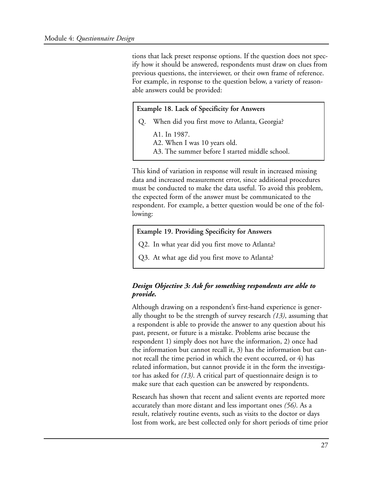tions that lack preset response options. If the question does not specify how it should be answered, respondents must draw on clues from previous questions, the interviewer, or their own frame of reference. For example, in response to the question below, a variety of reasonable answers could be provided:

#### **Example 18. Lack of Specificity for Answers**

- Q. When did you first move to Atlanta, Georgia?
	- A1. In 1987.
	- A2. When I was 10 years old.
	- A3. The summer before I started middle school.

This kind of variation in response will result in increased missing data and increased measurement error, since additional procedures must be conducted to make the data useful. To avoid this problem, the expected form of the answer must be communicated to the respondent. For example, a better question would be one of the following:

#### **Example 19. Providing Specificity for Answers**

- Q2. In what year did you first move to Atlanta?
- Q3. At what age did you first move to Atlanta?

#### *Design Objective 3: Ask for something respondents are able to provide.*

Although drawing on a respondent's first-hand experience is generally thought to be the strength of survey research *(13)*, assuming that a respondent is able to provide the answer to any question about his past, present, or future is a mistake. Problems arise because the respondent 1) simply does not have the information, 2) once had the information but cannot recall it, 3) has the information but cannot recall the time period in which the event occurred, or 4) has related information, but cannot provide it in the form the investigator has asked for *(13)*. A critical part of questionnaire design is to make sure that each question can be answered by respondents.

Research has shown that recent and salient events are reported more accurately than more distant and less important ones *(56)*. As a result, relatively routine events, such as visits to the doctor or days lost from work, are best collected only for short periods of time prior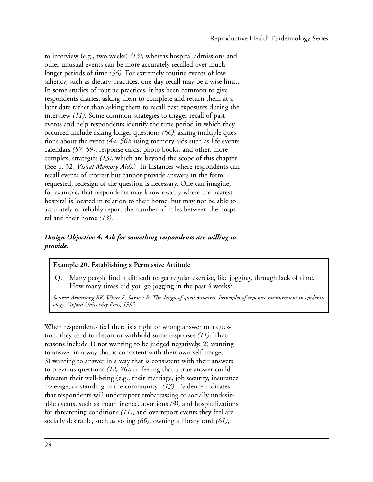to interview (e.g., two weeks) *(13)*, whereas hospital admissions and other unusual events can be more accurately recalled over much longer periods of time *(56)*. For extremely routine events of low saliency, such as dietary practices, one-day recall may be a wise limit. In some studies of routine practices, it has been common to give respondents diaries, asking them to complete and return them at a later date rather than asking them to recall past exposures during the interview *(11)*. Some common strategies to trigger recall of past events and help respondents identify the time period in which they occurred include asking longer questions *(56)*; asking multiple questions about the event *(44, 56)*; using memory aids such as life events calendars *(57–59)*, response cards, photo books, and other, more complex, strategies *(13)*, which are beyond the scope of this chapter. (See p. 32, *Visual Memory Aids*.) In instances where respondents can recall events of interest but cannot provide answers in the form requested, redesign of the question is necessary. One can imagine, for example, that respondents may know exactly where the nearest hospital is located in relation to their home, but may not be able to accurately or reliably report the number of miles between the hospital and their home *(13)*.

#### *Design Objective 4: Ask for something respondents are willing to provide.*

#### **Example 20. Establishing a Permissive Attitude**

Q. Many people find it difficult to get regular exercise, like jogging, through lack of time. How many times did you go jogging in the past 4 weeks?

*Source: Armstrong BK, White E, Saracci R. The design of questionnaires. Principles of exposure measurement in epidemiology. Oxford University Press; 1992.* 

When respondents feel there is a right or wrong answer to a question, they tend to distort or withhold some responses *(11)*. Their reasons include 1) not wanting to be judged negatively, 2) wanting to answer in a way that is consistent with their own self-image, 3) wanting to answer in a way that is consistent with their answers to previous questions *(12, 26)*, or feeling that a true answer could threaten their well-being (e.g., their marriage, job security, insurance coverage, or standing in the community) *(13)*. Evidence indicates that respondents will underreport embarrassing or socially undesirable events, such as incontinence, abortions *(3)*, and hospitalizations for threatening conditions *(11)*, and overreport events they feel are socially desirable, such as voting *(60)*, owning a library card *(61)*,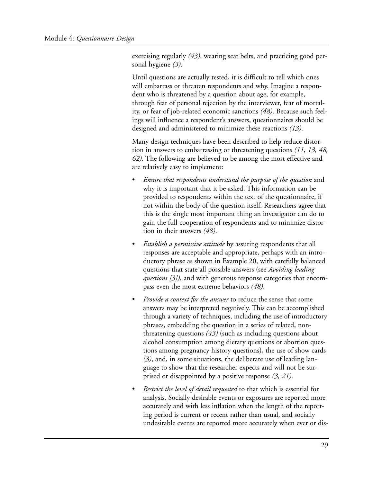exercising regularly *(43)*, wearing seat belts, and practicing good personal hygiene *(3)*.

Until questions are actually tested, it is difficult to tell which ones will embarrass or threaten respondents and why. Imagine a respondent who is threatened by a question about age, for example, through fear of personal rejection by the interviewer, fear of mortality, or fear of job-related economic sanctions *(48)*. Because such feelings will influence a respondent's answers, questionnaires should be designed and administered to minimize these reactions *(13)*.

Many design techniques have been described to help reduce distortion in answers to embarrassing or threatening questions *(11, 13, 48, 62)*. The following are believed to be among the most effective and are relatively easy to implement:

- Ensure that respondents understand the purpose of the question and why it is important that it be asked. This information can be provided to respondents within the text of the questionnaire, if not within the body of the question itself. Researchers agree that this is the single most important thing an investigator can do to gain the full cooperation of respondents and to minimize distortion in their answers *(48)*.
- *Establish a permissive attitude* by assuring respondents that all responses are acceptable and appropriate, perhaps with an introductory phrase as shown in Example 20, with carefully balanced questions that state all possible answers (see *Avoiding leading questions [3])*, and with generous response categories that encompass even the most extreme behaviors *(48)*.
- *Provide a context for the answer* to reduce the sense that some answers may be interpreted negatively. This can be accomplished through a variety of techniques, including the use of introductory phrases, embedding the question in a series of related, nonthreatening questions *(43)* (such as including questions about alcohol consumption among dietary questions or abortion questions among pregnancy history questions), the use of show cards *(3)*, and, in some situations, the deliberate use of leading language to show that the researcher expects and will not be surprised or disappointed by a positive response *(3, 21)*.
- *Restrict the level of detail requested* to that which is essential for analysis. Socially desirable events or exposures are reported more accurately and with less inflation when the length of the reporting period is current or recent rather than usual, and socially undesirable events are reported more accurately when ever or dis-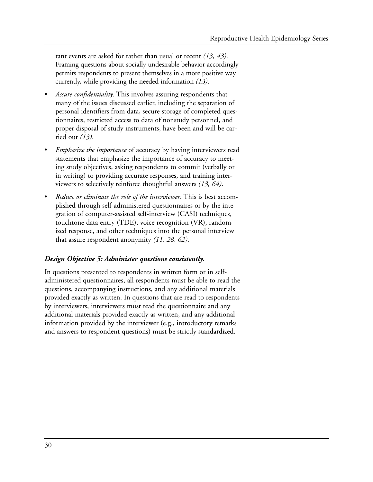tant events are asked for rather than usual or recent *(13, 43)*. Framing questions about socially undesirable behavior accordingly permits respondents to present themselves in a more positive way currently, while providing the needed information *(13)*.

- *Assure confidentiality*. This involves assuring respondents that many of the issues discussed earlier, including the separation of personal identifiers from data, secure storage of completed questionnaires, restricted access to data of nonstudy personnel, and proper disposal of study instruments, have been and will be carried out *(13)*.
- *Emphasize the importance* of accuracy by having interviewers read statements that emphasize the importance of accuracy to meeting study objectives, asking respondents to commit (verbally or in writing) to providing accurate responses, and training interviewers to selectively reinforce thoughtful answers *(13, 64)*.
- *Reduce or eliminate the role of the interviewer*. This is best accomplished through self-administered questionnaires or by the integration of computer-assisted self-interview (CASI) techniques, touchtone data entry (TDE), voice recognition (VR), randomized response, and other techniques into the personal interview that assure respondent anonymity *(11, 28, 62)*.

### *Design Objective 5: Administer questions consistently.*

In questions presented to respondents in written form or in selfadministered questionnaires, all respondents must be able to read the questions, accompanying instructions, and any additional materials provided exactly as written. In questions that are read to respondents by interviewers, interviewers must read the questionnaire and any additional materials provided exactly as written, and any additional information provided by the interviewer (e.g., introductory remarks and answers to respondent questions) must be strictly standardized.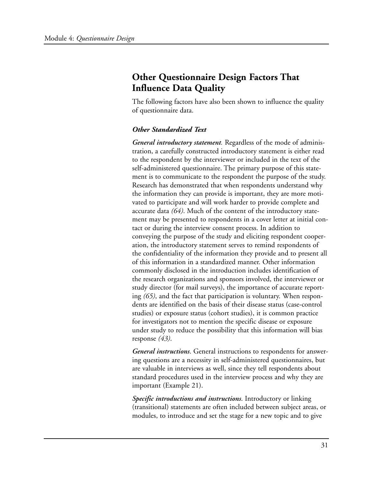## **Other Questionnaire Design Factors That Influence Data Quality**

The following factors have also been shown to influence the quality of questionnaire data.

### *Other Standardized Text*

*General introductory statement.* Regardless of the mode of administration, a carefully constructed introductory statement is either read to the respondent by the interviewer or included in the text of the self-administered questionnaire. The primary purpose of this statement is to communicate to the respondent the purpose of the study. Research has demonstrated that when respondents understand why the information they can provide is important, they are more motivated to participate and will work harder to provide complete and accurate data *(64)*. Much of the content of the introductory statement may be presented to respondents in a cover letter at initial contact or during the interview consent process. In addition to conveying the purpose of the study and eliciting respondent cooperation, the introductory statement serves to remind respondents of the confidentiality of the information they provide and to present all of this information in a standardized manner. Other information commonly disclosed in the introduction includes identification of the research organizations and sponsors involved, the interviewer or study director (for mail surveys), the importance of accurate reporting *(65)*, and the fact that participation is voluntary. When respondents are identified on the basis of their disease status (case-control studies) or exposure status (cohort studies), it is common practice for investigators not to mention the specific disease or exposure under study to reduce the possibility that this information will bias response *(43)*.

*General instructions*. General instructions to respondents for answering questions are a necessity in self-administered questionnaires, but are valuable in interviews as well, since they tell respondents about standard procedures used in the interview process and why they are important (Example 21).

*Specific introductions and instructions*. Introductory or linking (transitional) statements are often included between subject areas, or modules, to introduce and set the stage for a new topic and to give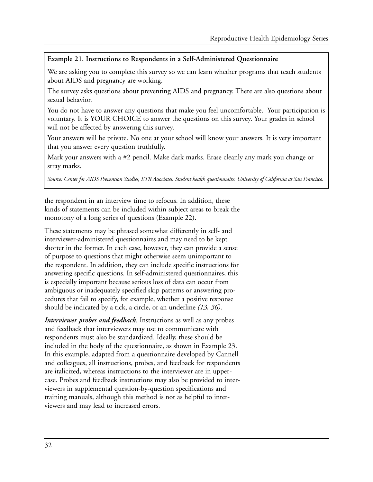### **Example 21. Instructions to Respondents in a Self-Administered Questionnaire**

We are asking you to complete this survey so we can learn whether programs that teach students about AIDS and pregnancy are working.

The survey asks questions about preventing AIDS and pregnancy. There are also questions about sexual behavior.

You do not have to answer any questions that make you feel uncomfortable. Your participation is voluntary. It is YOUR CHOICE to answer the questions on this survey. Your grades in school will not be affected by answering this survey.

Your answers will be private. No one at your school will know your answers. It is very important that you answer every question truthfully.

Mark your answers with a #2 pencil. Make dark marks. Erase cleanly any mark you change or stray marks.

*Source: Center for AIDS Prevention Studies, ETR Associates. Student health questionnaire. University of California at San Francisco.* 

the respondent in an interview time to refocus. In addition, these kinds of statements can be included within subject areas to break the monotony of a long series of questions (Example 22).

These statements may be phrased somewhat differently in self- and interviewer-administered questionnaires and may need to be kept shorter in the former. In each case, however, they can provide a sense of purpose to questions that might otherwise seem unimportant to the respondent. In addition, they can include specific instructions for answering specific questions. In self-administered questionnaires, this is especially important because serious loss of data can occur from ambiguous or inadequately specified skip patterns or answering procedures that fail to specify, for example, whether a positive response should be indicated by a tick, a circle, or an underline *(13, 36)*.

*Interviewer probes and feedback*. Instructions as well as any probes and feedback that interviewers may use to communicate with respondents must also be standardized. Ideally, these should be included in the body of the questionnaire, as shown in Example 23. In this example, adapted from a questionnaire developed by Cannell and colleagues, all instructions, probes, and feedback for respondents are italicized, whereas instructions to the interviewer are in uppercase. Probes and feedback instructions may also be provided to interviewers in supplemental question-by-question specifications and training manuals, although this method is not as helpful to interviewers and may lead to increased errors.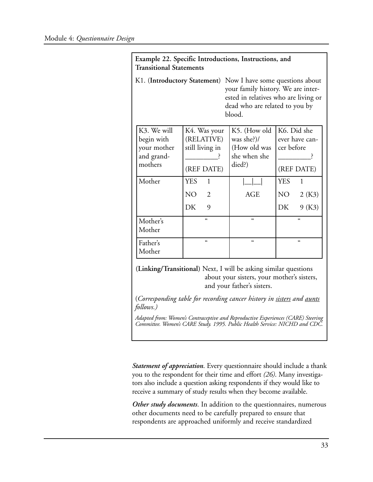| Example 22. Specific Introductions, Instructions, and<br><b>Transitional Statements</b>                                                                                                |                                                                            |                                                                      |                                                            |  |  |  |  |  |
|----------------------------------------------------------------------------------------------------------------------------------------------------------------------------------------|----------------------------------------------------------------------------|----------------------------------------------------------------------|------------------------------------------------------------|--|--|--|--|--|
| K1. (Introductory Statement) Now I have some questions about<br>your family history. We are inter-<br>ested in relatives who are living or<br>dead who are related to you by<br>blood. |                                                                            |                                                                      |                                                            |  |  |  |  |  |
| K3. We will<br>begin with<br>your mother<br>and grand-<br>mothers                                                                                                                      | K4. Was your<br>(RELATIVE)<br>still living in<br>(REF DATE)                | K5. (How old<br>was she?)/<br>(How old was<br>she when she<br>died?) | K6. Did she<br>ever have can-<br>cer before<br>(REF DATE)  |  |  |  |  |  |
| Mother                                                                                                                                                                                 | <b>YES</b><br>$\mathbf{1}$<br>NO <sub>1</sub><br>$\overline{2}$<br>DK<br>9 | <b>AGE</b>                                                           | <b>YES</b><br>$\mathbf{1}$<br>NO –<br>2(K3)<br>DK<br>9(K3) |  |  |  |  |  |
| Mother's<br>Mother                                                                                                                                                                     | $\epsilon$                                                                 | $\epsilon$                                                           | $\epsilon$                                                 |  |  |  |  |  |
| Father's<br>Mother                                                                                                                                                                     | $\epsilon$                                                                 | $\epsilon$                                                           | $\epsilon$                                                 |  |  |  |  |  |

**(Linking/Transitional)** Next, I will be asking similar questions about your sisters, your mother's sisters, and your father's sisters.

(*Corresponding table for recording cancer history in sisters and aunts follows.)* 

*Adapted from: Women's Contraceptive and Reproductive Experiences (CARE) Steering Committee. Women's CARE Study. 1995. Public Health Service: NICHD and CDC.* 

*Statement of appreciation*. Every questionnaire should include a thank you to the respondent for their time and effort *(26)*. Many investigators also include a question asking respondents if they would like to receive a summary of study results when they become available.

*Other study documents*. In addition to the questionnaires, numerous other documents need to be carefully prepared to ensure that respondents are approached uniformly and receive standardized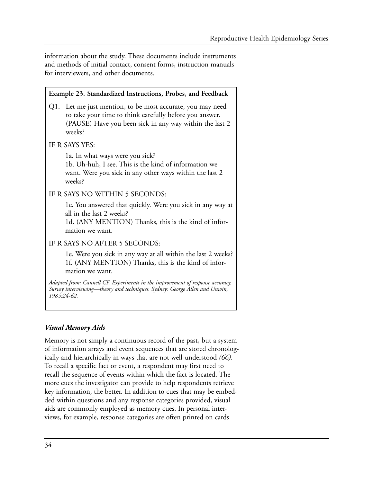information about the study. These documents include instruments and methods of initial contact, consent forms, instruction manuals for interviewers, and other documents.

| Example 23. Standardized Instructions, Probes, and Feedback                                                                                                                                |
|--------------------------------------------------------------------------------------------------------------------------------------------------------------------------------------------|
| Q1. Let me just mention, to be most accurate, you may need<br>to take your time to think carefully before you answer.<br>(PAUSE) Have you been sick in any way within the last 2<br>weeks? |
| IF R SAYS YES:                                                                                                                                                                             |
| 1a. In what ways were you sick?<br>1b. Uh-huh, I see. This is the kind of information we<br>want. Were you sick in any other ways within the last 2<br>weeks?                              |
| IF R SAYS NO WITHIN 5 SECONDS:                                                                                                                                                             |
| 1c. You answered that quickly. Were you sick in any way at<br>all in the last 2 weeks?<br>1d. (ANY MENTION) Thanks, this is the kind of infor-<br>mation we want.                          |
| IF R SAYS NO AFTER 5 SECONDS:                                                                                                                                                              |
| 1e. Were you sick in any way at all within the last 2 weeks?<br>1f. (ANY MENTION) Thanks, this is the kind of infor-<br>mation we want.                                                    |
| Adapted from: Cannell CF. Experiments in the improvement of response accuracy.<br>Survey interviewing—theory and techniques. Sydney: George Allen and Unwin,<br>1985:24-62.                |

### *Visual Memory Aids*

Memory is not simply a continuous record of the past, but a system of information arrays and event sequences that are stored chronologically and hierarchically in ways that are not well-understood *(66)*. To recall a specific fact or event, a respondent may first need to recall the sequence of events within which the fact is located. The more cues the investigator can provide to help respondents retrieve key information, the better. In addition to cues that may be embedded within questions and any response categories provided, visual aids are commonly employed as memory cues. In personal interviews, for example, response categories are often printed on cards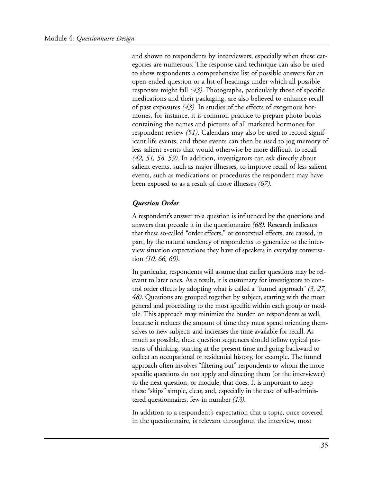and shown to respondents by interviewers, especially when these categories are numerous. The response card technique can also be used to show respondents a comprehensive list of possible answers for an open-ended question or a list of headings under which all possible responses might fall *(43)*. Photographs, particularly those of specific medications and their packaging, are also believed to enhance recall of past exposures *(43)*. In studies of the effects of exogenous hormones, for instance, it is common practice to prepare photo books containing the names and pictures of all marketed hormones for respondent review *(51)*. Calendars may also be used to record significant life events, and those events can then be used to jog memory of less salient events that would otherwise be more difficult to recall *(42, 51, 58, 59)*. In addition, investigators can ask directly about salient events, such as major illnesses, to improve recall of less salient events, such as medications or procedures the respondent may have been exposed to as a result of those illnesses *(67)*.

#### *Question Order*

A respondent's answer to a question is influenced by the questions and answers that precede it in the questionnaire *(68)*. Research indicates that these so-called "order effects," or contextual effects, are caused, in part, by the natural tendency of respondents to generalize to the interview situation expectations they have of speakers in everyday conversation *(10, 66, 69)*.

In particular, respondents will assume that earlier questions may be relevant to later ones. As a result, it is customary for investigators to control order effects by adopting what is called a "funnel approach" *(3, 27, 48)*. Questions are grouped together by subject, starting with the most general and proceeding to the most specific within each group or module. This approach may minimize the burden on respondents as well, because it reduces the amount of time they must spend orienting themselves to new subjects and increases the time available for recall. As much as possible, these question sequences should follow typical patterns of thinking, starting at the present time and going backward to collect an occupational or residential history, for example. The funnel approach often involves "filtering out" respondents to whom the more specific questions do not apply and directing them (or the interviewer) to the next question, or module, that does. It is important to keep these "skips" simple, clear, and, especially in the case of self-administered questionnaires, few in number *(13)*.

In addition to a respondent's expectation that a topic, once covered in the questionnaire, is relevant throughout the interview, most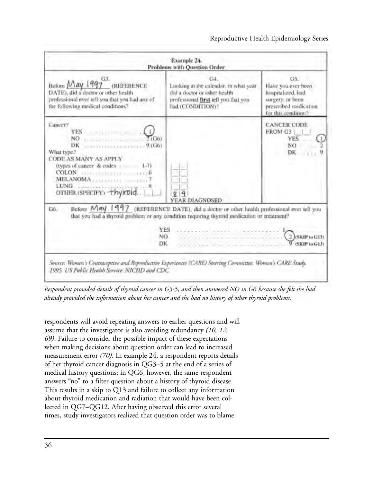

*Respondent provided details of thyroid cancer in G3-5, and then answered NO in G6 because she felt she had already provided the information about her cancer and she had no history of other thyroid problems.* 

respondents will avoid repeating answers to earlier questions and will assume that the investigator is also avoiding redundancy *(10, 12, 69)*. Failure to consider the possible impact of these expectations when making decisions about question order can lead to increased measurement error *(70)*. In example 24, a respondent reports details of her thyroid cancer diagnosis in QG3–5 at the end of a series of medical history questions; in QG6, however, the same respondent answers "no" to a filter question about a history of thyroid disease. This results in a skip to Q13 and failure to collect any information about thyroid medication and radiation that would have been collected in QG7–QG12. After having observed this error several times, study investigators realized that question order was to blame: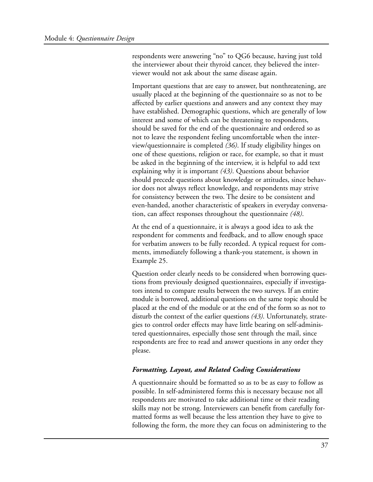respondents were answering "no" to QG6 because, having just told the interviewer about their thyroid cancer, they believed the interviewer would not ask about the same disease again.

Important questions that are easy to answer, but nonthreatening, are usually placed at the beginning of the questionnaire so as not to be affected by earlier questions and answers and any context they may have established. Demographic questions, which are generally of low interest and some of which can be threatening to respondents, should be saved for the end of the questionnaire and ordered so as not to leave the respondent feeling uncomfortable when the interview/questionnaire is completed *(36)*. If study eligibility hinges on one of these questions, religion or race, for example, so that it must be asked in the beginning of the interview, it is helpful to add text explaining why it is important *(43)*. Questions about behavior should precede questions about knowledge or attitudes, since behavior does not always reflect knowledge, and respondents may strive for consistency between the two. The desire to be consistent and even-handed, another characteristic of speakers in everyday conversation, can affect responses throughout the questionnaire *(48)*.

At the end of a questionnaire, it is always a good idea to ask the respondent for comments and feedback, and to allow enough space for verbatim answers to be fully recorded. A typical request for comments, immediately following a thank-you statement, is shown in Example 25.

Question order clearly needs to be considered when borrowing questions from previously designed questionnaires, especially if investigators intend to compare results between the two surveys. If an entire module is borrowed, additional questions on the same topic should be placed at the end of the module or at the end of the form so as not to disturb the context of the earlier questions *(43)*. Unfortunately, strategies to control order effects may have little bearing on self-administered questionnaires, especially those sent through the mail, since respondents are free to read and answer questions in any order they please.

### *Formatting, Layout, and Related Coding Considerations*

A questionnaire should be formatted so as to be as easy to follow as possible. In self-administered forms this is necessary because not all respondents are motivated to take additional time or their reading skills may not be strong. Interviewers can benefit from carefully formatted forms as well because the less attention they have to give to following the form, the more they can focus on administering to the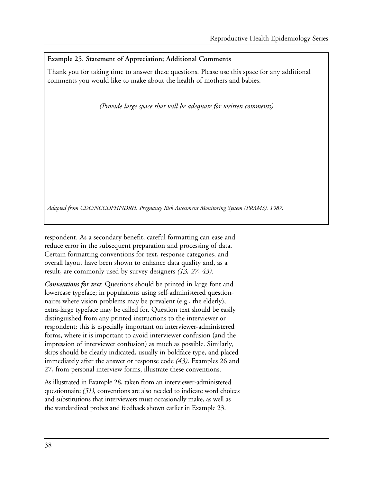### **Example 25. Statement of Appreciation; Additional Comments**

Thank you for taking time to answer these questions. Please use this space for any additional comments you would like to make about the health of mothers and babies.

*(Provide large space that will be adequate for written comments)* 

*Adapted from CDC/NCCDPHP/DRH. Pregnancy Risk Assessment Monitoring System (PRAMS). 1987.* 

respondent. As a secondary benefit, careful formatting can ease and reduce error in the subsequent preparation and processing of data. Certain formatting conventions for text, response categories, and overall layout have been shown to enhance data quality and, as a result, are commonly used by survey designers *(13, 27, 43)*.

*Conventions for text.* Questions should be printed in large font and lowercase typeface; in populations using self-administered questionnaires where vision problems may be prevalent (e.g., the elderly), extra-large typeface may be called for. Question text should be easily distinguished from any printed instructions to the interviewer or respondent; this is especially important on interviewer-administered forms, where it is important to avoid interviewer confusion (and the impression of interviewer confusion) as much as possible. Similarly, skips should be clearly indicated, usually in boldface type, and placed immediately after the answer or response code *(43)*. Examples 26 and 27, from personal interview forms, illustrate these conventions.

As illustrated in Example 28, taken from an interviewer-administered questionnaire *(51)*, conventions are also needed to indicate word choices and substitutions that interviewers must occasionally make, as well as the standardized probes and feedback shown earlier in Example 23.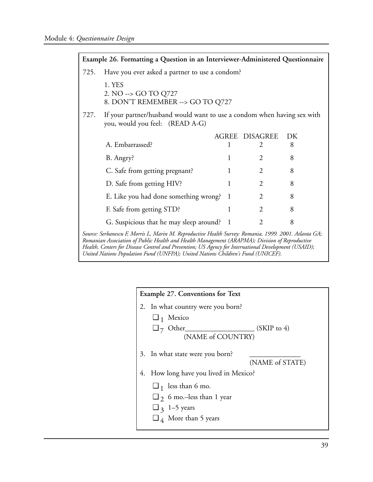|                                                                                                                                                                                                                                                                                                                 | Example 26. Formatting a Question in an Interviewer-Administered Questionnaire                             |   |                       |    |  |  |  |
|-----------------------------------------------------------------------------------------------------------------------------------------------------------------------------------------------------------------------------------------------------------------------------------------------------------------|------------------------------------------------------------------------------------------------------------|---|-----------------------|----|--|--|--|
| 725.                                                                                                                                                                                                                                                                                                            | Have you ever asked a partner to use a condom?                                                             |   |                       |    |  |  |  |
|                                                                                                                                                                                                                                                                                                                 | 1. YES<br>2. NO --> GO TO Q727<br>8. DON'T REMEMBER --> GO TO Q727                                         |   |                       |    |  |  |  |
| 727.                                                                                                                                                                                                                                                                                                            | If your partner/husband would want to use a condom when having sex with<br>you, would you feel: (READ A-G) |   |                       |    |  |  |  |
|                                                                                                                                                                                                                                                                                                                 |                                                                                                            |   | <b>AGREE DISAGREE</b> | DK |  |  |  |
|                                                                                                                                                                                                                                                                                                                 | A. Embarrassed?                                                                                            | 1 | $\mathcal{L}$         | 8  |  |  |  |
|                                                                                                                                                                                                                                                                                                                 | B. Angry?                                                                                                  | 1 | 2                     | 8  |  |  |  |
|                                                                                                                                                                                                                                                                                                                 | C. Safe from getting pregnant?                                                                             | 1 | 2                     | 8  |  |  |  |
|                                                                                                                                                                                                                                                                                                                 | D. Safe from getting HIV?                                                                                  | 1 | 2                     | 8  |  |  |  |
|                                                                                                                                                                                                                                                                                                                 | E. Like you had done something wrong?                                                                      | 1 | 2                     | 8  |  |  |  |
|                                                                                                                                                                                                                                                                                                                 | F. Safe from getting STD?                                                                                  | 1 | 2                     | 8  |  |  |  |
|                                                                                                                                                                                                                                                                                                                 | G. Suspicious that he may sleep around? 1                                                                  |   | 2                     | 8  |  |  |  |
| Source: Serbanescu F, Morris L, Marin M. Reproductive Health Survey: Romania, 1999. 2001. Atlanta GA;<br>Romanian Association of Public Health and Health Management (ARAPMA); Division of Reproductive<br>Health, Centers for Disease Control and Prevention; US Agency for International Development (USAID); |                                                                                                            |   |                       |    |  |  |  |

*United Nations Population Fund (UNFPA); United Nations Children's Fund (UNICEF).* 

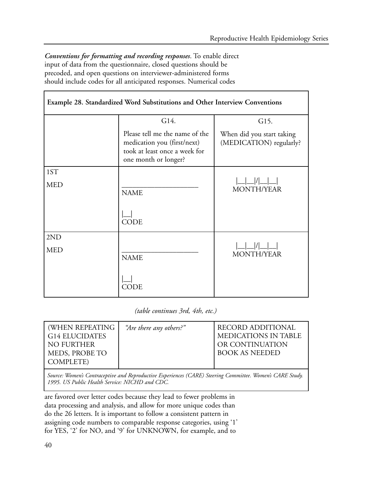*Conventions for formatting and recording responses*. To enable direct input of data from the questionnaire, closed questions should be precoded, and open questions on interviewer-administered forms should include codes for all anticipated responses. Numerical codes

| Example 28. Standardized Word Substitutions and Other Interview Conventions |                                                                                                                        |                                                      |  |  |  |  |  |
|-----------------------------------------------------------------------------|------------------------------------------------------------------------------------------------------------------------|------------------------------------------------------|--|--|--|--|--|
|                                                                             | G15.                                                                                                                   |                                                      |  |  |  |  |  |
|                                                                             | Please tell me the name of the<br>medication you (first/next)<br>took at least once a week for<br>one month or longer? | When did you start taking<br>(MEDICATION) regularly? |  |  |  |  |  |
| 1ST                                                                         |                                                                                                                        |                                                      |  |  |  |  |  |
| <b>MED</b>                                                                  | <b>NAME</b>                                                                                                            | <b>MONTH/YEAR</b>                                    |  |  |  |  |  |
|                                                                             | <b>CODE</b>                                                                                                            |                                                      |  |  |  |  |  |
| 2ND                                                                         |                                                                                                                        |                                                      |  |  |  |  |  |
| <b>MED</b>                                                                  | <b>NAME</b>                                                                                                            | <b>MONTH/YEAR</b>                                    |  |  |  |  |  |
|                                                                             | CODE                                                                                                                   |                                                      |  |  |  |  |  |

*(table continues 3rd, 4th, etc.)* 

| (WHEN REPEATING<br><b>G14 ELUCIDATES</b><br>NO FURTHER<br>MEDS, PROBE TO | "Are there any others?" | RECORD ADDITIONAL<br>MEDICATIONS IN TABLE<br>OR CONTINUATION<br><b>BOOK AS NEEDED</b> |
|--------------------------------------------------------------------------|-------------------------|---------------------------------------------------------------------------------------|
| COMPLETE)                                                                |                         |                                                                                       |
|                                                                          |                         |                                                                                       |

*Source: Women's Contraceptive and Reproductive Experiences (CARE) Steering Committee. Women's CARE Study. 1995. US Public Health Service: NICHD and CDC.* 

are favored over letter codes because they lead to fewer problems in data processing and analysis, and allow for more unique codes than do the 26 letters. It is important to follow a consistent pattern in assigning code numbers to comparable response categories, using '1' for YES, '2' for NO, and '9' for UNKNOWN, for example, and to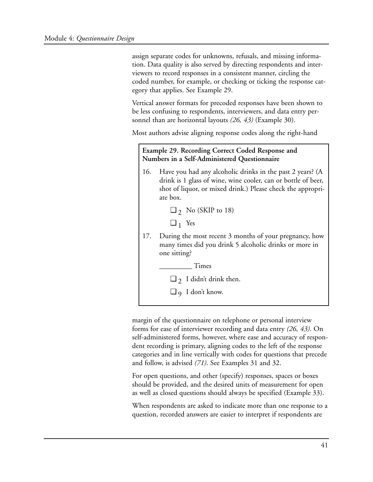assign separate codes for unknowns, refusals, and missing information. Data quality is also served by directing respondents and interviewers to record responses in a consistent manner, circling the coded number, for example, or checking or ticking the response category that applies. See Example 29.

Vertical answer formats for precoded responses have been shown to be less confusing to respondents, interviewers, and data entry personnel than are horizontal layouts *(26, 43)* (Example 30).

Most authors advise aligning response codes along the right-hand

### **Example 29. Recording Correct Coded Response and Numbers in a Self-Administered Questionnaire**

- 16. Have you had any alcoholic drinks in the past 2 years? (A drink is 1 glass of wine, wine cooler, can or bottle of beer, shot of liquor, or mixed drink.) Please check the appropriate box.
	- $\Box$   $\gamma$  No (SKIP to 18)
	- $\Box$ <sub>1</sub> Yes
- 17. During the most recent 3 months of your pregnancy, how many times did you drink 5 alcoholic drinks or more in one sitting?

\_\_\_\_\_\_\_\_\_ Times

 $\Box$  2 I didn't drink then.

 $\Box$  9 I don't know.

margin of the questionnaire on telephone or personal interview forms for ease of interviewer recording and data entry *(26, 43)*. On self-administered forms, however, where ease and accuracy of respondent recording is primary, aligning codes to the left of the response categories and in line vertically with codes for questions that precede and follow, is advised *(71)*. See Examples 31 and 32.

For open questions, and other (specify) responses, spaces or boxes should be provided, and the desired units of measurement for open as well as closed questions should always be specified (Example 33).

When respondents are asked to indicate more than one response to a question, recorded answers are easier to interpret if respondents are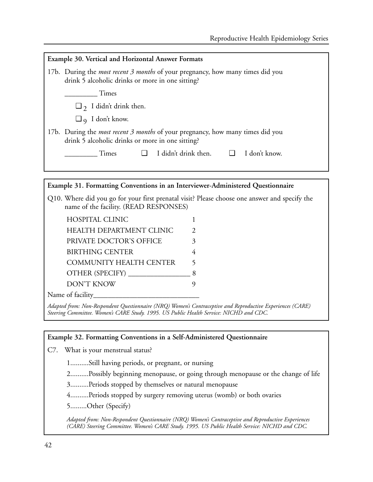| <b>Example 30. Vertical and Horizontal Answer Formats</b>                                                                                 |  |  |  |  |  |  |  |
|-------------------------------------------------------------------------------------------------------------------------------------------|--|--|--|--|--|--|--|
| 17b. During the <i>most recent 3 months</i> of your pregnancy, how many times did you<br>drink 5 alcoholic drinks or more in one sitting? |  |  |  |  |  |  |  |
| Times                                                                                                                                     |  |  |  |  |  |  |  |
| $\Box$ 7 I didn't drink then.                                                                                                             |  |  |  |  |  |  |  |
| $\Box$ q I don't know.                                                                                                                    |  |  |  |  |  |  |  |
| 17b. During the <i>most recent 3 months</i> of your pregnancy, how many times did you<br>drink 5 alcoholic drinks or more in one sitting? |  |  |  |  |  |  |  |
| I didn't drink then. $\Box$<br>I don't know.<br>$\Box$<br><b>Times</b>                                                                    |  |  |  |  |  |  |  |
|                                                                                                                                           |  |  |  |  |  |  |  |
|                                                                                                                                           |  |  |  |  |  |  |  |
| Example 31. Formatting Conventions in an Interviewer-Administered Questionnaire                                                           |  |  |  |  |  |  |  |

Q10. Where did you go for your first prenatal visit? Please choose one answer and specify the name of the facility. (READ RESPONSES)

| <b>HOSPITAL CLINIC</b>          |               |
|---------------------------------|---------------|
| <b>HEALTH DEPARTMENT CLINIC</b> | $\mathcal{L}$ |
| PRIVATE DOCTOR'S OFFICE         | 3             |
| BIRTHING CENTER                 |               |
| <b>COMMUNITY HEALTH CENTER</b>  | 5             |
| OTHER (SPECIFY)                 |               |
| DON'T KNOW                      |               |
| .                               |               |

Name of facility

*Adapted from: Non-Respondent Questionnaire (NRQ) Women's Contraceptive and Reproductive Experiences (CARE) Steering Committee. Women's CARE Study. 1995. US Public Health Service: NICHD and CDC.* 

### **Example 32. Formatting Conventions in a Self-Administered Questionnaire**

C7. What is your menstrual status?

1..........Still having periods, or pregnant, or nursing

2..........Possibly beginning menopause, or going through menopause or the change of life

3..........Periods stopped by themselves or natural menopause

4..........Periods stopped by surgery removing uterus (womb) or both ovaries

5.........Other (Specify)

*Adapted from: Non-Respondent Questionnaire (NRQ) Women's Contraceptive and Reproductive Experiences (CARE) Steering Committee. Women's CARE Study. 1995. US Public Health Service: NICHD and CDC.*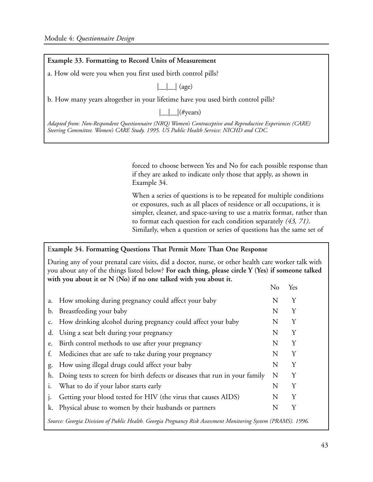| Example 33. Formatting to Record Units of Measurement                                                                                                                                                |  |  |  |  |
|------------------------------------------------------------------------------------------------------------------------------------------------------------------------------------------------------|--|--|--|--|
| a. How old were you when you first used birth control pills?                                                                                                                                         |  |  |  |  |
| $\Box$ (age)                                                                                                                                                                                         |  |  |  |  |
| b. How many years altogether in your lifetime have you used birth control pills?                                                                                                                     |  |  |  |  |
| $\Box$ (#years)                                                                                                                                                                                      |  |  |  |  |
| Adapted from: Non-Respondent Questionnaire (NRQ) Women's Contraceptive and Reproductive Experiences (CARE)<br>Steering Committee. Women's CARE Study. 1995. US Public Health Service: NICHD and CDC. |  |  |  |  |

forced to choose between Yes and No for each possible response than if they are asked to indicate only those that apply, as shown in Example 34.

When a series of questions is to be repeated for multiple conditions or exposures, such as all places of residence or all occupations, it is simpler, cleaner, and space-saving to use a matrix format, rather than to format each question for each condition separately *(43, 71)*. Similarly, when a question or series of questions has the same set of

### E**xample 34. Formatting Questions That Permit More Than One Response**

During any of your prenatal care visits, did a doctor, nurse, or other health care worker talk with you about any of the things listed below? **For each thing, please circle Y (Yes) if someone talked with you about it or N (No) if no one talked with you about it.** 

|    |                                                                                                               | No | Yes |  |
|----|---------------------------------------------------------------------------------------------------------------|----|-----|--|
| a. | How smoking during pregnancy could affect your baby                                                           | N  | Y   |  |
|    | b. Breastfeeding your baby                                                                                    | N  | Υ   |  |
|    | c. How drinking alcohol during pregnancy could affect your baby                                               | N  | Υ   |  |
| d. | Using a seat belt during your pregnancy                                                                       | N  | Y   |  |
| e. | Birth control methods to use after your pregnancy                                                             | N  | Y   |  |
| f. | Medicines that are safe to take during your pregnancy                                                         | N  | Υ   |  |
| g. | How using illegal drugs could affect your baby                                                                | N  | Υ   |  |
| h. | Doing tests to screen for birth defects or diseases that run in your family                                   | N  | Υ   |  |
|    | What to do if your labor starts early                                                                         | N  | Y   |  |
|    | Getting your blood tested for HIV (the virus that causes AIDS)                                                | N  | Y   |  |
|    | k. Physical abuse to women by their husbands or partners                                                      | N  | Υ   |  |
|    | Source: Georgia Division of Public Health. Georgia Pregnancy Risk Assessment Monitoring System (PRAMS). 1996. |    |     |  |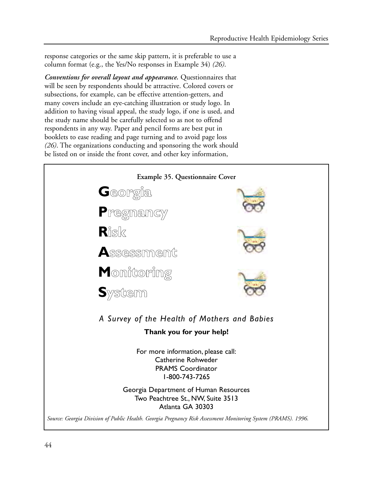response categories or the same skip pattern, it is preferable to use a column format (e.g., the Yes/No responses in Example 34) *(26)*.

*Conventions for overall layout and appearance.* Questionnaires that will be seen by respondents should be attractive. Colored covers or subsections, for example, can be effective attention-getters, and many covers include an eye-catching illustration or study logo. In addition to having visual appeal, the study logo, if one is used, and the study name should be carefully selected so as not to offend respondents in any way. Paper and pencil forms are best put in booklets to ease reading and page turning and to avoid page loss *(26)*. The organizations conducting and sponsoring the work should be listed on or inside the front cover, and other key information,

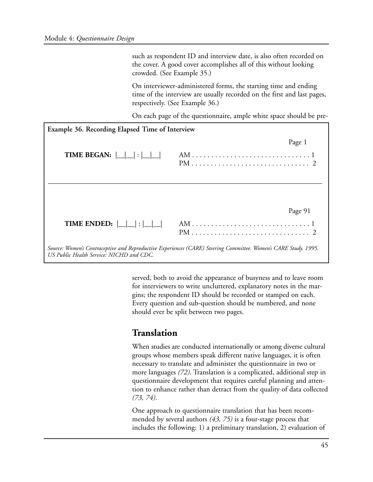such as respondent ID and interview date, is also often recorded on the cover. A good cover accomplishes all of this without looking crowded. (See Example 35.)

On interviewer-administered forms, the starting time and ending time of the interview are usually recorded on the first and last pages, respectively. (See Example 36.)

On each page of the questionnaire, ample white space should be pre-

| Example 36. Recording Elapsed Time of Interview                                                                                                             |                                                                    |  |  |  |  |  |
|-------------------------------------------------------------------------------------------------------------------------------------------------------------|--------------------------------------------------------------------|--|--|--|--|--|
|                                                                                                                                                             | Page 1                                                             |  |  |  |  |  |
|                                                                                                                                                             | Page 91                                                            |  |  |  |  |  |
| TIME ENDED: $ \_\_ $ : $ \_\_ $                                                                                                                             | $PM \dots \dots \dots \dots \dots \dots \dots \dots \dots \dots 2$ |  |  |  |  |  |
| Source: Women's Contraceptive and Reproductive Experiences (CARE) Steering Committee. Women's CARE Study. 1995.<br>US Public Health Service: NICHD and CDC. |                                                                    |  |  |  |  |  |

served, both to avoid the appearance of busyness and to leave room for interviewers to write uncluttered, explanatory notes in the margins; the respondent ID should be recorded or stamped on each. Every question and sub-question should be numbered, and none should ever be split between two pages.

### **Translation**

When studies are conducted internationally or among diverse cultural groups whose members speak different native languages, it is often necessary to translate and administer the questionnaire in two or more languages *(72)*. Translation is a complicated, additional step in questionnaire development that requires careful planning and attention to enhance rather than detract from the quality of data collected *(73, 74)*.

One approach to questionnaire translation that has been recommended by several authors *(43, 75)* is a four-stage process that includes the following: 1) a preliminary translation, 2) evaluation of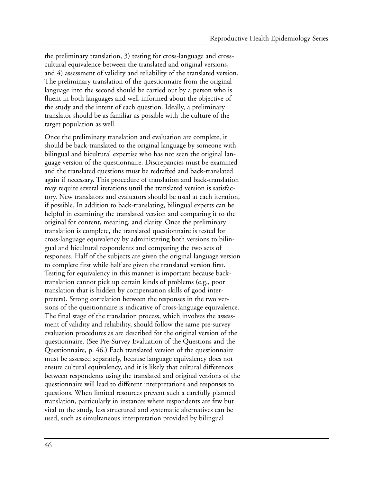the preliminary translation, 3) testing for cross-language and crosscultural equivalence between the translated and original versions, and 4) assessment of validity and reliability of the translated version. The preliminary translation of the questionnaire from the original language into the second should be carried out by a person who is fluent in both languages and well-informed about the objective of the study and the intent of each question. Ideally, a preliminary translator should be as familiar as possible with the culture of the target population as well.

Once the preliminary translation and evaluation are complete, it should be back-translated to the original language by someone with bilingual and bicultural expertise who has not seen the original language version of the questionnaire. Discrepancies must be examined and the translated questions must be redrafted and back-translated again if necessary. This procedure of translation and back-translation may require several iterations until the translated version is satisfactory. New translators and evaluators should be used at each iteration, if possible. In addition to back-translating, bilingual experts can be helpful in examining the translated version and comparing it to the original for content, meaning, and clarity. Once the preliminary translation is complete, the translated questionnaire is tested for cross-language equivalency by administering both versions to bilingual and bicultural respondents and comparing the two sets of responses. Half of the subjects are given the original language version to complete first while half are given the translated version first. Testing for equivalency in this manner is important because backtranslation cannot pick up certain kinds of problems (e.g., poor translation that is hidden by compensation skills of good interpreters). Strong correlation between the responses in the two versions of the questionnaire is indicative of cross-language equivalence. The final stage of the translation process, which involves the assessment of validity and reliability, should follow the same pre-survey evaluation procedures as are described for the original version of the questionnaire. (See Pre-Survey Evaluation of the Questions and the Questionnaire, p. 46.) Each translated version of the questionnaire must be assessed separately, because language equivalency does not ensure cultural equivalency, and it is likely that cultural differences between respondents using the translated and original versions of the questionnaire will lead to different interpretations and responses to questions. When limited resources prevent such a carefully planned translation, particularly in instances where respondents are few but vital to the study, less structured and systematic alternatives can be used, such as simultaneous interpretation provided by bilingual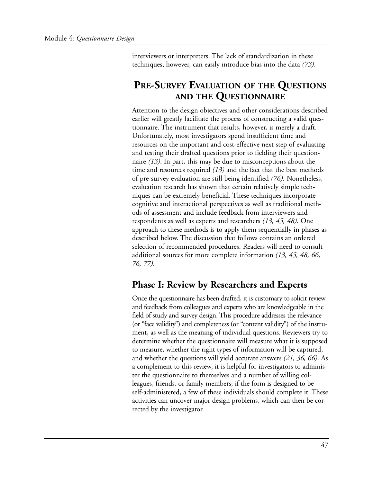interviewers or interpreters. The lack of standardization in these techniques, however, can easily introduce bias into the data *(73)*.

## **PRE-SURVEY EVALUATION OF THE QUESTIONS AND THE QUESTIONNAIRE**

Attention to the design objectives and other considerations described earlier will greatly facilitate the process of constructing a valid questionnaire. The instrument that results, however, is merely a draft. Unfortunately, most investigators spend insufficient time and resources on the important and cost-effective next step of evaluating and testing their drafted questions prior to fielding their questionnaire *(13)*. In part, this may be due to misconceptions about the time and resources required *(13)* and the fact that the best methods of pre-survey evaluation are still being identified *(76)*. Nonetheless, evaluation research has shown that certain relatively simple techniques can be extremely beneficial. These techniques incorporate cognitive and interactional perspectives as well as traditional methods of assessment and include feedback from interviewers and respondents as well as experts and researchers *(13, 45, 48)*. One approach to these methods is to apply them sequentially in phases as described below. The discussion that follows contains an ordered selection of recommended procedures. Readers will need to consult additional sources for more complete information *(13, 45, 48, 66, 76, 77)*.

## **Phase I: Review by Researchers and Experts**

Once the questionnaire has been drafted, it is customary to solicit review and feedback from colleagues and experts who are knowledgeable in the field of study and survey design. This procedure addresses the relevance (or "face validity") and completeness (or "content validity") of the instrument, as well as the meaning of individual questions. Reviewers try to determine whether the questionnaire will measure what it is supposed to measure, whether the right types of information will be captured, and whether the questions will yield accurate answers *(21, 36, 66)*. As a complement to this review, it is helpful for investigators to administer the questionnaire to themselves and a number of willing colleagues, friends, or family members; if the form is designed to be self-administered, a few of these individuals should complete it. These activities can uncover major design problems, which can then be corrected by the investigator.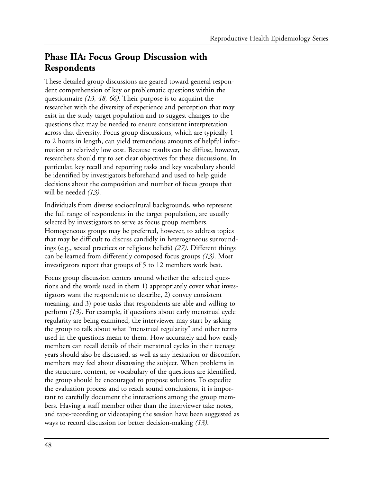# **Phase IIA: Focus Group Discussion with Respondents**

These detailed group discussions are geared toward general respondent comprehension of key or problematic questions within the questionnaire *(13, 48, 66)*. Their purpose is to acquaint the researcher with the diversity of experience and perception that may exist in the study target population and to suggest changes to the questions that may be needed to ensure consistent interpretation across that diversity. Focus group discussions, which are typically 1 to 2 hours in length, can yield tremendous amounts of helpful information at relatively low cost. Because results can be diffuse, however, researchers should try to set clear objectives for these discussions. In particular, key recall and reporting tasks and key vocabulary should be identified by investigators beforehand and used to help guide decisions about the composition and number of focus groups that will be needed *(13)*.

Individuals from diverse sociocultural backgrounds, who represent the full range of respondents in the target population, are usually selected by investigators to serve as focus group members. Homogeneous groups may be preferred, however, to address topics that may be difficult to discuss candidly in heterogeneous surroundings (e.g., sexual practices or religious beliefs) *(27)*. Different things can be learned from differently composed focus groups *(13)*. Most investigators report that groups of 5 to 12 members work best.

Focus group discussion centers around whether the selected questions and the words used in them 1) appropriately cover what investigators want the respondents to describe, 2) convey consistent meaning, and 3) pose tasks that respondents are able and willing to perform *(13)*. For example, if questions about early menstrual cycle regularity are being examined, the interviewer may start by asking the group to talk about what "menstrual regularity" and other terms used in the questions mean to them. How accurately and how easily members can recall details of their menstrual cycles in their teenage years should also be discussed, as well as any hesitation or discomfort members may feel about discussing the subject. When problems in the structure, content, or vocabulary of the questions are identified, the group should be encouraged to propose solutions. To expedite the evaluation process and to reach sound conclusions, it is important to carefully document the interactions among the group members. Having a staff member other than the interviewer take notes, and tape-recording or videotaping the session have been suggested as ways to record discussion for better decision-making *(13)*.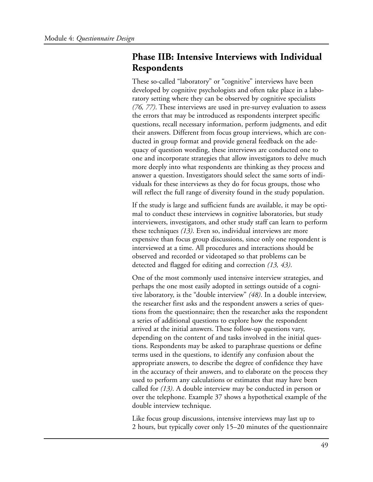## **Phase IIB: Intensive Interviews with Individual Respondents**

These so-called "laboratory" or "cognitive" interviews have been developed by cognitive psychologists and often take place in a laboratory setting where they can be observed by cognitive specialists *(76, 77)*. These interviews are used in pre-survey evaluation to assess the errors that may be introduced as respondents interpret specific questions, recall necessary information, perform judgments, and edit their answers. Different from focus group interviews, which are conducted in group format and provide general feedback on the adequacy of question wording, these interviews are conducted one to one and incorporate strategies that allow investigators to delve much more deeply into what respondents are thinking as they process and answer a question. Investigators should select the same sorts of individuals for these interviews as they do for focus groups, those who will reflect the full range of diversity found in the study population.

If the study is large and sufficient funds are available, it may be optimal to conduct these interviews in cognitive laboratories, but study interviewers, investigators, and other study staff can learn to perform these techniques *(13)*. Even so, individual interviews are more expensive than focus group discussions, since only one respondent is interviewed at a time. All procedures and interactions should be observed and recorded or videotaped so that problems can be detected and flagged for editing and correction *(13, 43)*.

One of the most commonly used intensive interview strategies, and perhaps the one most easily adopted in settings outside of a cognitive laboratory, is the "double interview" *(48)*. In a double interview, the researcher first asks and the respondent answers a series of questions from the questionnaire; then the researcher asks the respondent a series of additional questions to explore how the respondent arrived at the initial answers. These follow-up questions vary, depending on the content of and tasks involved in the initial questions. Respondents may be asked to paraphrase questions or define terms used in the questions, to identify any confusion about the appropriate answers, to describe the degree of confidence they have in the accuracy of their answers, and to elaborate on the process they used to perform any calculations or estimates that may have been called for *(13)*. A double interview may be conducted in person or over the telephone. Example 37 shows a hypothetical example of the double interview technique.

Like focus group discussions, intensive interviews may last up to 2 hours, but typically cover only 15–20 minutes of the questionnaire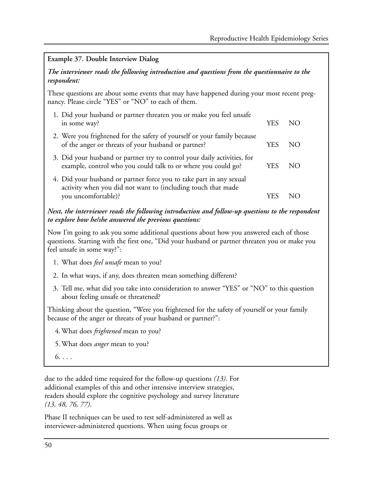## **Example 37. Double Interview Dialog**  *The interviewer reads the following introduction and questions from the questionnaire to the respondent:*  These questions are about some events that may have happened during your most recent pregnancy. Please circle "YES" or "NO" to each of them. 1. Did your husband or partner threaten you or make you feel unsafe in some way? YES NO 2. Were you frightened for the safety of yourself or your family because of the anger or threats of your husband or partner? YES NO 3. Did your husband or partner try to control your daily activities, for example, control who you could talk to or where you could go? YES NO 4. Did your husband or partner force you to take part in any sexual activity when you did not want to (including touch that made you uncomfortable)? YES NO

### *Next, the interviewer reads the following introduction and follow-up questions to the respondent to explore how he/she answered the previous questions:*

Now I'm going to ask you some additional questions about how you answered each of those questions. Starting with the first one, "Did your husband or partner threaten you or make you feel unsafe in some way?":

- 1. What does *feel unsafe* mean to you?
- 2. In what ways, if any, does threaten mean something different?
- 3. Tell me, what did you take into consideration to answer "YES" or "NO" to this question about feeling unsafe or threatened?

Thinking about the question, "Were you frightened for the safety of yourself or your family because of the anger or threats of your husband or partner?":

4. What does *frightened* mean to you?

- 5. What does *anger* mean to you?
- $6. \ldots$

due to the added time required for the follow-up questions *(13)*. For additional examples of this and other intensive interview strategies, readers should explore the cognitive psychology and survey literature *(13, 48, 76, 77)*.

Phase II techniques can be used to test self-administered as well as interviewer-administered questions. When using focus groups or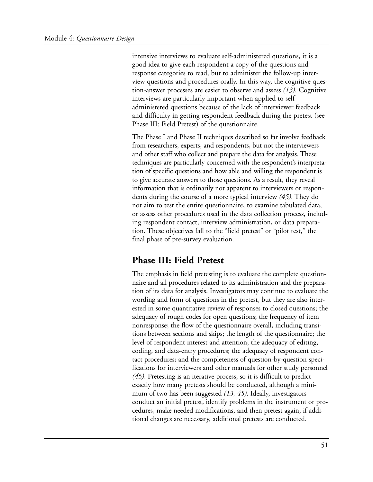intensive interviews to evaluate self-administered questions, it is a good idea to give each respondent a copy of the questions and response categories to read, but to administer the follow-up interview questions and procedures orally. In this way, the cognitive question-answer processes are easier to observe and assess *(13)*. Cognitive interviews are particularly important when applied to selfadministered questions because of the lack of interviewer feedback and difficulty in getting respondent feedback during the pretest (see Phase III: Field Pretest) of the questionnaire.

The Phase I and Phase II techniques described so far involve feedback from researchers, experts, and respondents, but not the interviewers and other staff who collect and prepare the data for analysis. These techniques are particularly concerned with the respondent's interpretation of specific questions and how able and willing the respondent is to give accurate answers to those questions. As a result, they reveal information that is ordinarily not apparent to interviewers or respondents during the course of a more typical interview *(45)*. They do not aim to test the entire questionnaire, to examine tabulated data, or assess other procedures used in the data collection process, including respondent contact, interview administration, or data preparation. These objectives fall to the "field pretest" or "pilot test," the final phase of pre-survey evaluation.

### **Phase III: Field Pretest**

The emphasis in field pretesting is to evaluate the complete questionnaire and all procedures related to its administration and the preparation of its data for analysis. Investigators may continue to evaluate the wording and form of questions in the pretest, but they are also interested in some quantitative review of responses to closed questions; the adequacy of rough codes for open questions; the frequency of item nonresponse; the flow of the questionnaire overall, including transitions between sections and skips; the length of the questionnaire; the level of respondent interest and attention; the adequacy of editing, coding, and data-entry procedures; the adequacy of respondent contact procedures; and the completeness of question-by-question specifications for interviewers and other manuals for other study personnel *(45)*. Pretesting is an iterative process, so it is difficult to predict exactly how many pretests should be conducted, although a minimum of two has been suggested *(13, 45)*. Ideally, investigators conduct an initial pretest, identify problems in the instrument or procedures, make needed modifications, and then pretest again; if additional changes are necessary, additional pretests are conducted.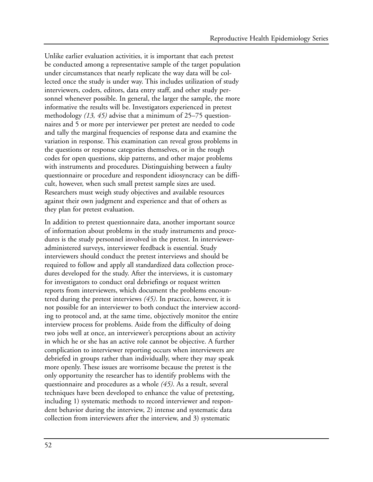Unlike earlier evaluation activities, it is important that each pretest be conducted among a representative sample of the target population under circumstances that nearly replicate the way data will be collected once the study is under way. This includes utilization of study interviewers, coders, editors, data entry staff, and other study personnel whenever possible. In general, the larger the sample, the more informative the results will be. Investigators experienced in pretest methodology *(13, 45)* advise that a minimum of 25–75 questionnaires and 5 or more per interviewer per pretest are needed to code and tally the marginal frequencies of response data and examine the variation in response. This examination can reveal gross problems in the questions or response categories themselves, or in the rough codes for open questions, skip patterns, and other major problems with instruments and procedures. Distinguishing between a faulty questionnaire or procedure and respondent idiosyncracy can be difficult, however, when such small pretest sample sizes are used. Researchers must weigh study objectives and available resources against their own judgment and experience and that of others as they plan for pretest evaluation.

In addition to pretest questionnaire data, another important source of information about problems in the study instruments and procedures is the study personnel involved in the pretest. In intervieweradministered surveys, interviewer feedback is essential. Study interviewers should conduct the pretest interviews and should be required to follow and apply all standardized data collection procedures developed for the study. After the interviews, it is customary for investigators to conduct oral debriefings or request written reports from interviewers, which document the problems encountered during the pretest interviews *(45)*. In practice, however, it is not possible for an interviewer to both conduct the interview according to protocol and, at the same time, objectively monitor the entire interview process for problems. Aside from the difficulty of doing two jobs well at once, an interviewer's perceptions about an activity in which he or she has an active role cannot be objective. A further complication to interviewer reporting occurs when interviewers are debriefed in groups rather than individually, where they may speak more openly. These issues are worrisome because the pretest is the only opportunity the researcher has to identify problems with the questionnaire and procedures as a whole *(45)*. As a result, several techniques have been developed to enhance the value of pretesting, including 1) systematic methods to record interviewer and respondent behavior during the interview, 2) intense and systematic data collection from interviewers after the interview, and 3) systematic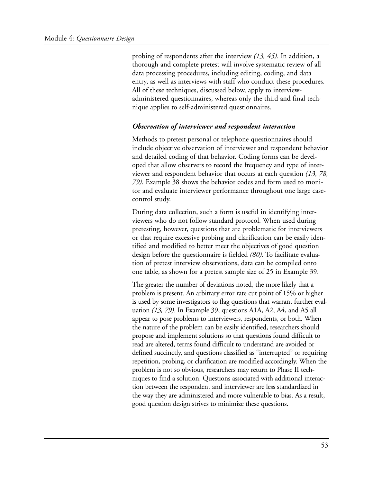probing of respondents after the interview *(13, 45)*. In addition, a thorough and complete pretest will involve systematic review of all data processing procedures, including editing, coding, and data entry, as well as interviews with staff who conduct these procedures. All of these techniques, discussed below, apply to interviewadministered questionnaires, whereas only the third and final technique applies to self-administered questionnaires.

### *Observation of interviewer and respondent interaction*

Methods to pretest personal or telephone questionnaires should include objective observation of interviewer and respondent behavior and detailed coding of that behavior. Coding forms can be developed that allow observers to record the frequency and type of interviewer and respondent behavior that occurs at each question *(13, 78, 79)*. Example 38 shows the behavior codes and form used to monitor and evaluate interviewer performance throughout one large casecontrol study.

During data collection, such a form is useful in identifying interviewers who do not follow standard protocol. When used during pretesting, however, questions that are problematic for interviewers or that require excessive probing and clarification can be easily identified and modified to better meet the objectives of good question design before the questionnaire is fielded *(80)*. To facilitate evaluation of pretest interview observations, data can be compiled onto one table, as shown for a pretest sample size of 25 in Example 39.

The greater the number of deviations noted, the more likely that a problem is present. An arbitrary error rate cut point of 15% or higher is used by some investigators to flag questions that warrant further evaluation *(13, 79)*. In Example 39, questions A1A, A2, A4, and A5 all appear to pose problems to interviewers, respondents, or both. When the nature of the problem can be easily identified, researchers should propose and implement solutions so that questions found difficult to read are altered, terms found difficult to understand are avoided or defined succinctly, and questions classified as "interrupted" or requiring repetition, probing, or clarification are modified accordingly. When the problem is not so obvious, researchers may return to Phase II techniques to find a solution. Questions associated with additional interaction between the respondent and interviewer are less standardized in the way they are administered and more vulnerable to bias. As a result, good question design strives to minimize these questions.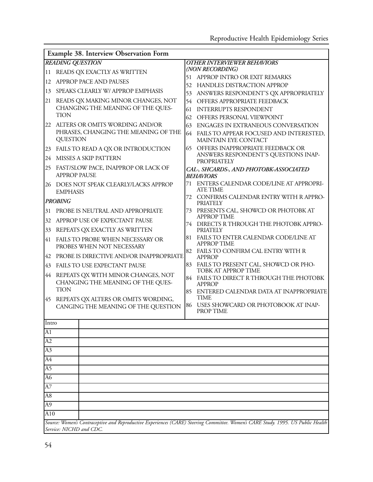|                      | Example 38. Interview Observation Form                                  |                                      |                                                                                                                                  |  |  |  |  |
|----------------------|-------------------------------------------------------------------------|--------------------------------------|----------------------------------------------------------------------------------------------------------------------------------|--|--|--|--|
|                      | <b>READING QUESTION</b><br><b>OTHER INTERVIEWER BEHAVIORS</b>           |                                      |                                                                                                                                  |  |  |  |  |
| <sup>11</sup>        | READS QX EXACTLY AS WRITTEN                                             |                                      | (NON RECORDING)                                                                                                                  |  |  |  |  |
| 12                   | APPROP PACE AND PAUSES                                                  | 51                                   | APPROP INTRO OR EXIT REMARKS                                                                                                     |  |  |  |  |
| 13                   | SPEAKS CLEARLY W/ APPROP EMPHASIS                                       | 52                                   | HANDLES DISTRACTION APPROP                                                                                                       |  |  |  |  |
| 21                   | READS QX MAKING MINOR CHANGES, NOT                                      | 53<br>54                             | ANSWERS RESPONDENT'S QX APPROPRIATELY<br>OFFERS APPROPRIATE FEEDBACK                                                             |  |  |  |  |
|                      | CHANGING THE MEANING OF THE QUES-                                       | 61                                   | <b>INTERRUPTS RESPONDENT</b>                                                                                                     |  |  |  |  |
|                      | <b>TION</b>                                                             | 62                                   | OFFERS PERSONAL VIEWPOINT                                                                                                        |  |  |  |  |
|                      | 22 ALTERS OR OMITS WORDING AND/OR                                       | 63                                   | ENGAGES IN EXTRANEOUS CONVERSATION                                                                                               |  |  |  |  |
|                      | PHRASES, CHANGING THE MEANING OF THE<br><b>QUESTION</b>                 | 64                                   | FAILS TO APPEAR FOCUSED AND INTERESTED,<br>MAINTAIN EYE CONTACT                                                                  |  |  |  |  |
| 23                   | FAILS TO READ A QX OR INTRODUCTION                                      | 65                                   | OFFERS INAPPROPRIATE FEEDBACK OR                                                                                                 |  |  |  |  |
| 24                   | MISSES A SKIP PATTERN                                                   | ANSWERS RESPONDENT'S QUESTIONS INAP- |                                                                                                                                  |  |  |  |  |
| 25                   | FAST/SLOW PACE, INAPPROP OR LACK OF<br><b>APPROP PAUSE</b>              |                                      | <b>PROPRIATELY</b><br>CAL-, SHCARDS-, AND PHOTOBK-ASSOCIATED<br><b>BEHAVIORS</b>                                                 |  |  |  |  |
| 26                   | DOES NOT SPEAK CLEARLY/LACKS APPROP<br><b>EMPHASIS</b>                  | 71                                   | ENTERS CALENDAR CODE/LINE AT APPROPRI-<br><b>ATE TIME</b>                                                                        |  |  |  |  |
|                      | <b>PROBING</b>                                                          |                                      | 72 CONFIRMS CALENDAR ENTRY WITH R APPRO-<br><b>PRIATELY</b>                                                                      |  |  |  |  |
| 31                   | PROBE IS NEUTRAL AND APPROPRIATE                                        | 73                                   | PRESENTS CAL, SHOWCD OR PHOTOBK AT                                                                                               |  |  |  |  |
| 32                   | APPROP USE OF EXPECTANT PAUSE                                           | 74                                   | <b>APPROP TIME</b><br>DIRECTS R THROUGH THE PHOTOBK APPRO-                                                                       |  |  |  |  |
| 33                   | REPEATS QX EXACTLY AS WRITTEN                                           |                                      | <b>PRIATELY</b>                                                                                                                  |  |  |  |  |
| 41                   | FAILS TO PROBE WHEN NECESSARY OR<br>PROBES WHEN NOT NECESSARY           | 81                                   | FAILS TO ENTER CALENDAR CODE/LINE AT<br><b>APPROP TIME</b>                                                                       |  |  |  |  |
| 42                   | PROBE IS DIRECTIVE AND/OR INAPPROPRIATE                                 | 82                                   | FAILS TO CONFIRM CAL ENTRY WITH R<br><b>APPROP</b>                                                                               |  |  |  |  |
| 43                   | FAILS TO USE EXPECTANT PAUSE                                            | 83                                   | FAILS TO PRESENT CAL, SHOWCD OR PHO-<br>TOBK AT APPROP TIME                                                                      |  |  |  |  |
| 44                   | REPEATS QX WITH MINOR CHANGES, NOT<br>CHANGING THE MEANING OF THE QUES- | 84                                   | FAILS TO DIRECT R THROUGH THE PHOTOBK<br><b>APPROP</b>                                                                           |  |  |  |  |
| 45                   | <b>TION</b><br>REPEATS QX ALTERS OR OMITS WORDING,                      | 85                                   | ENTERED CALENDAR DATA AT INAPPROPRIATE<br><b>TIME</b>                                                                            |  |  |  |  |
|                      | CANGING THE MEANING OF THE QUESTION                                     | 86                                   | USES SHOWCARD OR PHOTOBOOK AT INAP-<br><b>PROP TIME</b>                                                                          |  |  |  |  |
| Intro                |                                                                         |                                      |                                                                                                                                  |  |  |  |  |
| A1                   |                                                                         |                                      |                                                                                                                                  |  |  |  |  |
| A2                   |                                                                         |                                      |                                                                                                                                  |  |  |  |  |
| A3                   |                                                                         |                                      |                                                                                                                                  |  |  |  |  |
| A4                   |                                                                         |                                      |                                                                                                                                  |  |  |  |  |
| $\overline{A5}$      |                                                                         |                                      |                                                                                                                                  |  |  |  |  |
| A6                   |                                                                         |                                      |                                                                                                                                  |  |  |  |  |
| A7<br>A <sub>8</sub> |                                                                         |                                      |                                                                                                                                  |  |  |  |  |
| A <sub>9</sub>       |                                                                         |                                      |                                                                                                                                  |  |  |  |  |
| A10                  |                                                                         |                                      |                                                                                                                                  |  |  |  |  |
|                      |                                                                         |                                      | Source: Women's Contraceptive and Reproductive Experiences (CARE) Steering Committee. Women's CARE Study. 1995. US Public Health |  |  |  |  |
|                      | Service: NICHD and CDC.                                                 |                                      |                                                                                                                                  |  |  |  |  |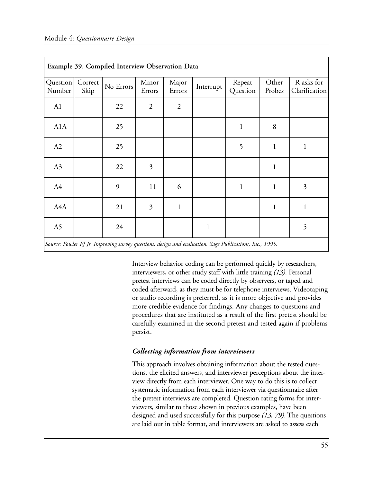| Example 39. Compiled Interview Observation Data                                                         |                 |           |                 |                 |              |                    |                 |                             |  |
|---------------------------------------------------------------------------------------------------------|-----------------|-----------|-----------------|-----------------|--------------|--------------------|-----------------|-----------------------------|--|
| Question<br>Number                                                                                      | Correct<br>Skip | No Errors | Minor<br>Errors | Major<br>Errors | Interrupt    | Repeat<br>Question | Other<br>Probes | R asks for<br>Clarification |  |
| A1                                                                                                      |                 | 22        | $\overline{2}$  | $\mathfrak{2}$  |              |                    |                 |                             |  |
| A1A                                                                                                     |                 | 25        |                 |                 |              | $\mathbf{1}$       | 8               |                             |  |
| A2                                                                                                      |                 | 25        |                 |                 |              | 5                  | $\mathbf{1}$    | $\mathbf{1}$                |  |
| A3                                                                                                      |                 | 22        | 3               |                 |              |                    | $\mathbf{1}$    |                             |  |
| A4                                                                                                      |                 | 9         | 11              | 6               |              | $\mathbf{1}$       | $\mathbf{1}$    | $\overline{3}$              |  |
| A4A                                                                                                     |                 | 21        | 3               | $\mathbf{1}$    |              |                    | $\mathbf{1}$    | $\mathbf{1}$                |  |
| A5                                                                                                      |                 | 24        |                 |                 | $\mathbf{1}$ |                    |                 | 5                           |  |
| Source: Fowler FJ Jr. Improving survey questions: design and evaluation. Sage Publications, Inc., 1995. |                 |           |                 |                 |              |                    |                 |                             |  |

Interview behavior coding can be performed quickly by researchers, interviewers, or other study staff with little training *(13)*. Personal pretest interviews can be coded directly by observers, or taped and coded afterward, as they must be for telephone interviews. Videotaping or audio recording is preferred, as it is more objective and provides more credible evidence for findings. Any changes to questions and procedures that are instituted as a result of the first pretest should be carefully examined in the second pretest and tested again if problems persist.

### *Collecting information from interviewers*

This approach involves obtaining information about the tested questions, the elicited answers, and interviewer perceptions about the interview directly from each interviewer. One way to do this is to collect systematic information from each interviewer via questionnaire after the pretest interviews are completed. Question rating forms for interviewers, similar to those shown in previous examples, have been designed and used successfully for this purpose *(13, 79)*. The questions are laid out in table format, and interviewers are asked to assess each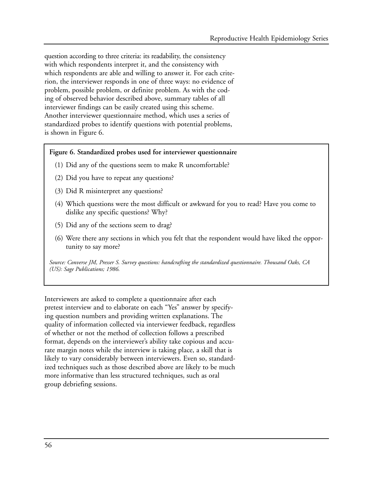question according to three criteria: its readability, the consistency with which respondents interpret it, and the consistency with which respondents are able and willing to answer it. For each criterion, the interviewer responds in one of three ways: no evidence of problem, possible problem, or definite problem. As with the coding of observed behavior described above, summary tables of all interviewer findings can be easily created using this scheme. Another interviewer questionnaire method, which uses a series of standardized probes to identify questions with potential problems, is shown in Figure 6.

#### **Figure 6. Standardized probes used for interviewer questionnaire**

- (1) Did any of the questions seem to make R uncomfortable?
- (2) Did you have to repeat any questions?
- (3) Did R misinterpret any questions?
- (4) Which questions were the most difficult or awkward for you to read? Have you come to dislike any specific questions? Why?
- (5) Did any of the sections seem to drag?
- (6) Were there any sections in which you felt that the respondent would have liked the opportunity to say more?

*Source: Converse JM, Presser S. Survey questions: handcrafting the standardized questionnaire. Thousand Oaks, CA (US): Sage Publications; 1986.* 

Interviewers are asked to complete a questionnaire after each pretest interview and to elaborate on each "Yes" answer by specifying question numbers and providing written explanations. The quality of information collected via interviewer feedback, regardless of whether or not the method of collection follows a prescribed format, depends on the interviewer's ability take copious and accurate margin notes while the interview is taking place, a skill that is likely to vary considerably between interviewers. Even so, standardized techniques such as those described above are likely to be much more informative than less structured techniques, such as oral group debriefing sessions.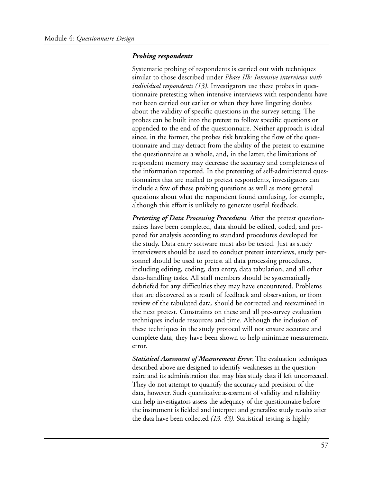#### *Probing respondents*

Systematic probing of respondents is carried out with techniques similar to those described under *Phase IIb: Intensive interviews with individual respondents (13)*. Investigators use these probes in questionnaire pretesting when intensive interviews with respondents have not been carried out earlier or when they have lingering doubts about the validity of specific questions in the survey setting. The probes can be built into the pretest to follow specific questions or appended to the end of the questionnaire. Neither approach is ideal since, in the former, the probes risk breaking the flow of the questionnaire and may detract from the ability of the pretest to examine the questionnaire as a whole, and, in the latter, the limitations of respondent memory may decrease the accuracy and completeness of the information reported. In the pretesting of self-administered questionnaires that are mailed to pretest respondents, investigators can include a few of these probing questions as well as more general questions about what the respondent found confusing, for example, although this effort is unlikely to generate useful feedback.

*Pretesting of Data Processing Procedures.* After the pretest questionnaires have been completed, data should be edited, coded, and prepared for analysis according to standard procedures developed for the study. Data entry software must also be tested. Just as study interviewers should be used to conduct pretest interviews, study personnel should be used to pretest all data processing procedures, including editing, coding, data entry, data tabulation, and all other data-handling tasks. All staff members should be systematically debriefed for any difficulties they may have encountered. Problems that are discovered as a result of feedback and observation, or from review of the tabulated data, should be corrected and reexamined in the next pretest. Constraints on these and all pre-survey evaluation techniques include resources and time. Although the inclusion of these techniques in the study protocol will not ensure accurate and complete data, they have been shown to help minimize measurement error.

*Statistical Assessment of Measurement Error*. The evaluation techniques described above are designed to identify weaknesses in the questionnaire and its administration that may bias study data if left uncorrected. They do not attempt to quantify the accuracy and precision of the data, however. Such quantitative assessment of validity and reliability can help investigators assess the adequacy of the questionnaire before the instrument is fielded and interpret and generalize study results after the data have been collected *(13, 43)*. Statistical testing is highly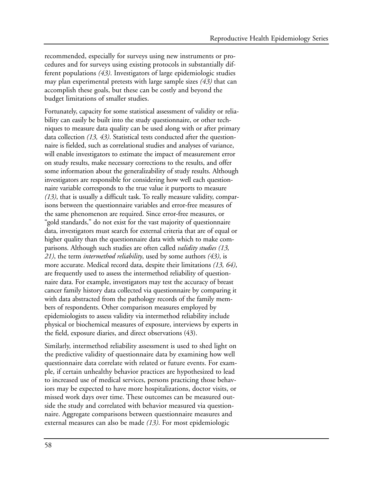recommended, especially for surveys using new instruments or procedures and for surveys using existing protocols in substantially different populations *(43)*. Investigators of large epidemiologic studies may plan experimental pretests with large sample sizes *(43)* that can accomplish these goals, but these can be costly and beyond the budget limitations of smaller studies.

Fortunately, capacity for some statistical assessment of validity or reliability can easily be built into the study questionnaire, or other techniques to measure data quality can be used along with or after primary data collection *(13, 43)*. Statistical tests conducted after the questionnaire is fielded, such as correlational studies and analyses of variance, will enable investigators to estimate the impact of measurement error on study results, make necessary corrections to the results, and offer some information about the generalizability of study results. Although investigators are responsible for considering how well each questionnaire variable corresponds to the true value it purports to measure *(13)*, that is usually a difficult task. To really measure validity, comparisons between the questionnaire variables and error-free measures of the same phenomenon are required. Since error-free measures, or "gold standards," do not exist for the vast majority of questionnaire data, investigators must search for external criteria that are of equal or higher quality than the questionnaire data with which to make comparisons. Although such studies are often called *validity studies (13, 21)*, the term *intermethod reliability*, used by some authors *(43)*, is more accurate. Medical record data, despite their limitations *(13, 64)*, are frequently used to assess the intermethod reliability of questionnaire data. For example, investigators may test the accuracy of breast cancer family history data collected via questionnaire by comparing it with data abstracted from the pathology records of the family members of respondents. Other comparison measures employed by epidemiologists to assess validity via intermethod reliability include physical or biochemical measures of exposure, interviews by experts in the field, exposure diaries, and direct observations (43).

Similarly, intermethod reliability assessment is used to shed light on the predictive validity of questionnaire data by examining how well questionnaire data correlate with related or future events. For example, if certain unhealthy behavior practices are hypothesized to lead to increased use of medical services, persons practicing those behaviors may be expected to have more hospitalizations, doctor visits, or missed work days over time. These outcomes can be measured outside the study and correlated with behavior measured via questionnaire. Aggregate comparisons between questionnaire measures and external measures can also be made *(13)*. For most epidemiologic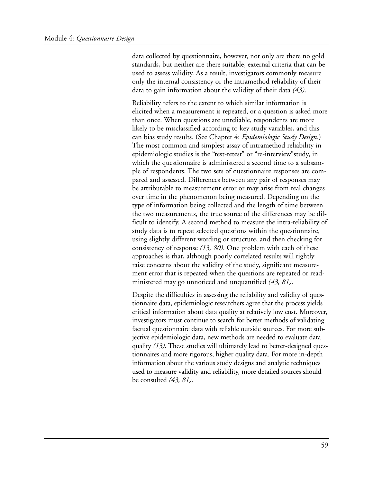data collected by questionnaire, however, not only are there no gold standards, but neither are there suitable, external criteria that can be used to assess validity. As a result, investigators commonly measure only the internal consistency or the intramethod reliability of their data to gain information about the validity of their data *(43)*.

Reliability refers to the extent to which similar information is elicited when a measurement is repeated, or a question is asked more than once. When questions are unreliable, respondents are more likely to be misclassified according to key study variables, and this can bias study results. (See Chapter 4: *Epidemiologic Study Design*.) The most common and simplest assay of intramethod reliability in epidemiologic studies is the "test-retest" or "re-interview"study, in which the questionnaire is administered a second time to a subsample of respondents. The two sets of questionnaire responses are compared and assessed. Differences between any pair of responses may be attributable to measurement error or may arise from real changes over time in the phenomenon being measured. Depending on the type of information being collected and the length of time between the two measurements, the true source of the differences may be difficult to identify. A second method to measure the intra-reliability of study data is to repeat selected questions within the questionnaire, using slightly different wording or structure, and then checking for consistency of response *(13, 80)*. One problem with each of these approaches is that, although poorly correlated results will rightly raise concerns about the validity of the study, significant measurement error that is repeated when the questions are repeated or readministered may go unnoticed and unquantified *(43, 81)*.

Despite the difficulties in assessing the reliability and validity of questionnaire data, epidemiologic researchers agree that the process yields critical information about data quality at relatively low cost. Moreover, investigators must continue to search for better methods of validating factual questionnaire data with reliable outside sources. For more subjective epidemiologic data, new methods are needed to evaluate data quality *(13)*. These studies will ultimately lead to better-designed questionnaires and more rigorous, higher quality data. For more in-depth information about the various study designs and analytic techniques used to measure validity and reliability, more detailed sources should be consulted *(43, 81)*.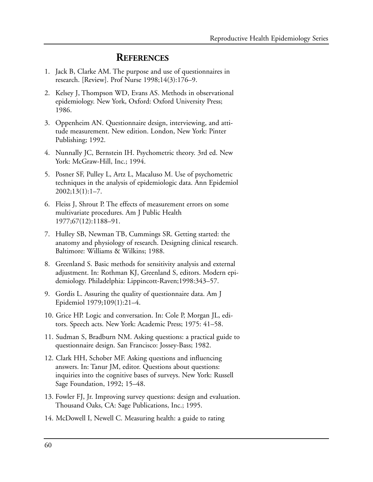### **REFERENCES**

- 1. Jack B, Clarke AM. The purpose and use of questionnaires in research. [Review]. Prof Nurse 1998;14(3):176–9.
- 2. Kelsey J, Thompson WD, Evans AS. Methods in observational epidemiology. New York, Oxford: Oxford University Press; 1986.
- 3. Oppenheim AN. Questionnaire design, interviewing, and attitude measurement. New edition. London, New York: Pinter Publishing; 1992.
- 4. Nunnally JC, Bernstein IH. Psychometric theory. 3rd ed. New York: McGraw-Hill, Inc.; 1994.
- 5. Posner SF, Pulley L, Artz L, Macaluso M. Use of psychometric techniques in the analysis of epidemiologic data. Ann Epidemiol  $2002;13(1):1-7.$
- 6. Fleiss J, Shrout P. The effects of measurement errors on some multivariate procedures. Am J Public Health 1977;67(12):1188–91.
- 7. Hulley SB, Newman TB, Cummings SR. Getting started: the anatomy and physiology of research. Designing clinical research. Baltimore: Williams & Wilkins; 1988.
- 8. Greenland S. Basic methods for sensitivity analysis and external adjustment. In: Rothman KJ, Greenland S, editors. Modern epidemiology. Philadelphia: Lippincott-Raven;1998:343–57.
- 9. Gordis L. Assuring the quality of questionnaire data. Am J Epidemiol 1979;109(1):21–4.
- 10. Grice HP. Logic and conversation. In: Cole P, Morgan JL, editors. Speech acts. New York: Academic Press; 1975: 41–58.
- 11. Sudman S, Bradburn NM. Asking questions: a practical guide to questionnaire design. San Francisco: Jossey-Bass; 1982.
- 12. Clark HH, Schober MF. Asking questions and influencing answers. In: Tanur JM, editor. Questions about questions: inquiries into the cognitive bases of surveys. New York: Russell Sage Foundation, 1992; 15–48.
- 13. Fowler FJ, Jr. Improving survey questions: design and evaluation. Thousand Oaks, CA: Sage Publications, Inc.; 1995.
- 14. McDowell I, Newell C. Measuring health: a guide to rating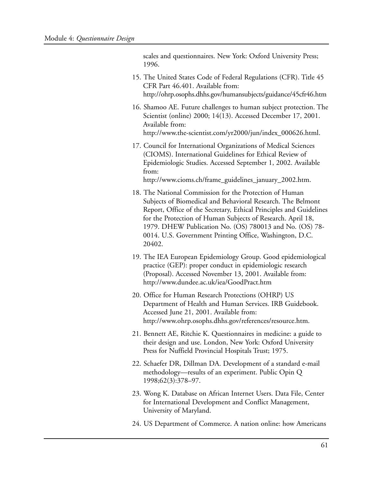scales and questionnaires. New York: Oxford University Press; 1996.

- 15. The United States Code of Federal Regulations (CFR). Title 45 CFR Part 46.401. Available from: http://ohrp.osophs.dhhs.gov/humansubjects/guidance/45cfr46.htm
- 16. Shamoo AE. Future challenges to human subject protection. The Scientist (online) 2000; 14(13). Accessed December 17, 2001. Available from: http://www.the-scientist.com/yr2000/jun/index\_000626.html.
- 17. Council for International Organizations of Medical Sciences (CIOMS). International Guidelines for Ethical Review of Epidemiologic Studies. Accessed September 1, 2002. Available from:

http://www.cioms.ch/frame\_guidelines\_january\_2002.htm.

- 18. The National Commission for the Protection of Human Subjects of Biomedical and Behavioral Research. The Belmont Report, Office of the Secretary, Ethical Principles and Guidelines for the Protection of Human Subjects of Research. April 18, 1979. DHEW Publication No. (OS) 780013 and No. (OS) 78 0014. U.S. Government Printing Office, Washington, D.C. 20402.
- 19. The IEA European Epidemiology Group. Good epidemiological practice (GEP): proper conduct in epidemiologic research (Proposal). Accessed November 13, 2001. Available from: http://www.dundee.ac.uk/iea/GoodPract.htm
- 20. Office for Human Research Protections (OHRP) US Department of Health and Human Services. IRB Guidebook. Accessed June 21, 2001. Available from: http://www.ohrp.osophs.dhhs.gov/references/resource.htm.
- 21. Bennett AE, Ritchie K. Questionnaires in medicine: a guide to their design and use. London, New York: Oxford University Press for Nuffield Provincial Hospitals Trust; 1975.
- 22. Schaefer DR, Dillman DA. Development of a standard e-mail methodology—results of an experiment. Public Opin Q 1998;62(3):378–97.
- 23. Wong K. Database on African Internet Users. Data File, Center for International Development and Conflict Management, University of Maryland.
- 24. US Department of Commerce. A nation online: how Americans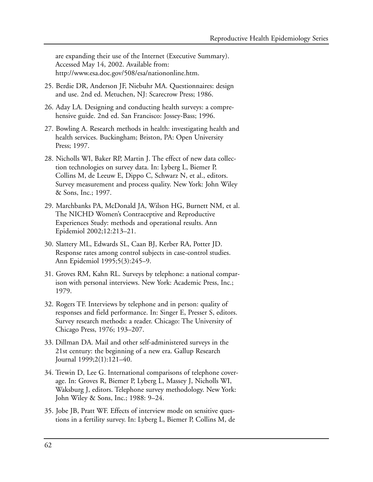are expanding their use of the Internet (Executive Summary). Accessed May 14, 2002. Available from: http://www.esa.doc.gov/508/esa/nationonline.htm.

- 25. Berdie DR, Anderson JF, Niebuhr MA. Questionnaires: design and use. 2nd ed. Metuchen, NJ: Scarecrow Press; 1986.
- 26. Aday LA. Designing and conducting health surveys: a comprehensive guide. 2nd ed. San Francisco: Jossey-Bass; 1996.
- 27. Bowling A. Research methods in health: investigating health and health services. Buckingham; Briston, PA: Open University Press; 1997.
- 28. Nicholls WI, Baker RP, Martin J. The effect of new data collection technologies on survey data. In: Lyberg L, Biemer P, Collins M, de Leeuw E, Dippo C, Schwarz N, et al., editors. Survey measurement and process quality. New York: John Wiley & Sons, Inc.; 1997.
- 29. Marchbanks PA, McDonald JA, Wilson HG, Burnett NM, et al. The NICHD Women's Contraceptive and Reproductive Experiences Study: methods and operational results. Ann Epidemiol 2002;12:213–21.
- 30. Slattery ML, Edwards SL, Caan BJ, Kerber RA, Potter JD. Response rates among control subjects in case-control studies. Ann Epidemiol 1995;5(3):245–9.
- 31. Groves RM, Kahn RL. Surveys by telephone: a national comparison with personal interviews. New York: Academic Press, Inc.; 1979.
- 32. Rogers TF. Interviews by telephone and in person: quality of responses and field performance. In: Singer E, Presser S, editors. Survey research methods: a reader. Chicago: The University of Chicago Press, 1976; 193–207.
- 33. Dillman DA. Mail and other self-administered surveys in the 21st century: the beginning of a new era. Gallup Research Journal 1999;2(1):121–40.
- 34. Trewin D, Lee G. International comparisons of telephone coverage. In: Groves R, Biemer P, Lyberg L, Massey J, Nicholls WI, Waksburg J, editors. Telephone survey methodology. New York: John Wiley & Sons, Inc.; 1988: 9–24.
- 35. Jobe JB, Pratt WF. Effects of interview mode on sensitive questions in a fertility survey. In: Lyberg L, Biemer P, Collins M, de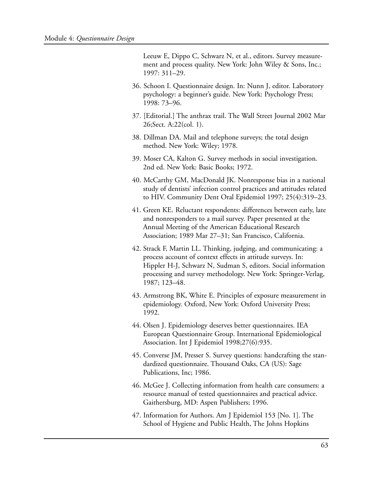Leeuw E, Dippo C, Schwarz N, et al., editors. Survey measurement and process quality. New York: John Wiley & Sons, Inc.; 1997: 311–29.

- 36. Schoon I. Questionnaire design. In: Nunn J, editor. Laboratory psychology: a beginner's guide. New York: Psychology Press; 1998: 73–96.
- 37. [Editorial.] The anthrax trail. The Wall Street Journal 2002 Mar 26;Sect. A:22(col. 1).
- 38. Dillman DA. Mail and telephone surveys; the total design method. New York: Wiley; 1978.
- 39. Moser CA, Kalton G. Survey methods in social investigation. 2nd ed. New York: Basic Books; 1972.
- 40. McCarthy GM, MacDonald JK. Nonresponse bias in a national study of dentists' infection control practices and attitudes related to HIV. Community Dent Oral Epidemiol 1997; 25(4):319–23.
- 41. Green KE. Reluctant respondents: differences between early, late and nonresponders to a mail survey. Paper presented at the Annual Meeting of the American Educational Research Association; 1989 Mar 27–31; San Francisco, California.
- 42. Strack F, Martin LL. Thinking, judging, and communicating: a process account of context effects in attitude surveys. In: Hippler H-J, Schwarz N, Sudman S, editors. Social information processing and survey methodology. New York: Springer-Verlag, 1987; 123–48.
- 43. Armstrong BK, White E. Principles of exposure measurement in epidemiology. Oxford, New York: Oxford University Press; 1992.
- 44. Olsen J. Epidemiology deserves better questionnaires. IEA European Questionnaire Group. International Epidemiological Association. Int J Epidemiol 1998;27(6):935.
- 45. Converse JM, Presser S. Survey questions: handcrafting the standardized questionnaire. Thousand Oaks, CA (US): Sage Publications, Inc; 1986.
- 46. McGee J. Collecting information from health care consumers: a resource manual of tested questionnaires and practical advice. Gaithersburg, MD: Aspen Publishers; 1996.
- 47. Information for Authors. Am J Epidemiol 153 [No. 1]. The School of Hygiene and Public Health, The Johns Hopkins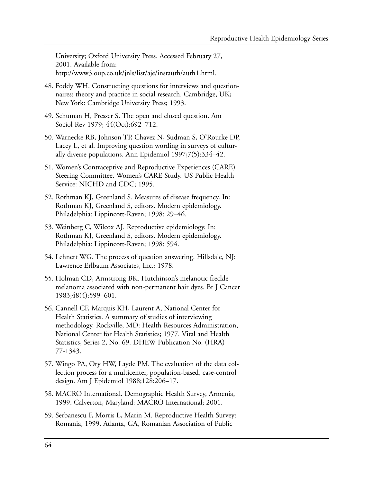University; Oxford University Press. Accessed February 27, 2001. Available from: http://www3.oup.co.uk/jnls/list/aje/instauth/auth1.html.

- 48. Foddy WH. Constructing questions for interviews and questionnaires: theory and practice in social research. Cambridge, UK; New York: Cambridge University Press; 1993.
- 49. Schuman H, Presser S. The open and closed question. Am Sociol Rev 1979; 44(Oct):692-712.
- 50. Warnecke RB, Johnson TP, Chavez N, Sudman S, O'Rourke DP, Lacey L, et al. Improving question wording in surveys of culturally diverse populations. Ann Epidemiol 1997;7(5):334–42.
- 51. Women's Contraceptive and Reproductive Experiences (CARE) Steering Committee. Women's CARE Study. US Public Health Service: NICHD and CDC; 1995.
- 52. Rothman KJ, Greenland S. Measures of disease frequency. In: Rothman KJ, Greenland S, editors. Modern epidemiology. Philadelphia: Lippincott-Raven; 1998: 29–46.
- 53. Weinberg C, Wilcox AJ. Reproductive epidemiology. In: Rothman KJ, Greenland S, editors. Modern epidemiology. Philadelphia: Lippincott-Raven; 1998: 594.
- 54. Lehnert WG. The process of question answering. Hillsdale, NJ: Lawrence Erlbaum Associates, Inc.; 1978.
- 55. Holman CD, Armstrong BK. Hutchinson's melanotic freckle melanoma associated with non-permanent hair dyes. Br J Cancer 1983;48(4):599–601.
- 56. Cannell CF, Marquis KH, Laurent A, National Center for Health Statistics. A summary of studies of interviewing methodology. Rockville, MD: Health Resources Administration, National Center for Health Statistics; 1977. Vital and Health Statistics, Series 2, No. 69. DHEW Publication No. (HRA) 77-1343.
- 57. Wingo PA, Ory HW, Layde PM. The evaluation of the data collection process for a multicenter, population-based, case-control design. Am J Epidemiol 1988;128:206–17.
- 58. MACRO International. Demographic Health Survey, Armenia, 1999. Calverton, Maryland: MACRO International; 2001.
- 59. Serbanescu F, Morris L, Marin M. Reproductive Health Survey: Romania, 1999. Atlanta, GA, Romanian Association of Public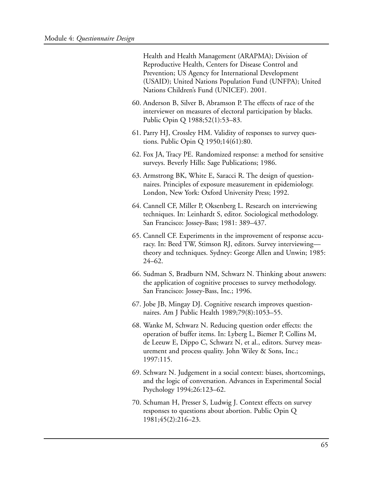Health and Health Management (ARAPMA); Division of Reproductive Health, Centers for Disease Control and Prevention; US Agency for International Development (USAID); United Nations Population Fund (UNFPA); United Nations Children's Fund (UNICEF). 2001.

- 60. Anderson B, Silver B, Abramson P. The effects of race of the interviewer on measures of electoral participation by blacks. Public Opin Q 1988;52(1):53–83.
- 61. Parry HJ, Crossley HM. Validity of responses to survey questions. Public Opin Q 1950;14(61):80.
- 62. Fox JA, Tracy PE. Randomized response: a method for sensitive surveys. Beverly Hills: Sage Publications; 1986.
- 63. Armstrong BK, White E, Saracci R. The design of questionnaires. Principles of exposure measurement in epidemiology. London, New York: Oxford University Press; 1992.
- 64. Cannell CF, Miller P, Oksenberg L. Research on interviewing techniques. In: Leinhardt S, editor. Sociological methodology. San Francisco: Jossey-Bass; 1981: 389–437.
- 65. Cannell CF. Experiments in the improvement of response accuracy. In: Beed TW, Stimson RJ, editors. Survey interviewing theory and techniques. Sydney: George Allen and Unwin; 1985: 24–62.
- 66. Sudman S, Bradburn NM, Schwarz N. Thinking about answers: the application of cognitive processes to survey methodology. San Francisco: Jossey-Bass, Inc.; 1996.
- 67. Jobe JB, Mingay DJ. Cognitive research improves questionnaires. Am J Public Health 1989;79(8):1053–55.
- 68. Wanke M, Schwarz N. Reducing question order effects: the operation of buffer items. In: Lyberg L, Biemer P, Collins M, de Leeuw E, Dippo C, Schwarz N, et al., editors. Survey measurement and process quality. John Wiley & Sons, Inc.; 1997:115.
- 69. Schwarz N. Judgement in a social context: biases, shortcomings, and the logic of conversation. Advances in Experimental Social Psychology 1994;26:123–62.
- 70. Schuman H, Presser S, Ludwig J. Context effects on survey responses to questions about abortion. Public Opin Q 1981;45(2):216–23.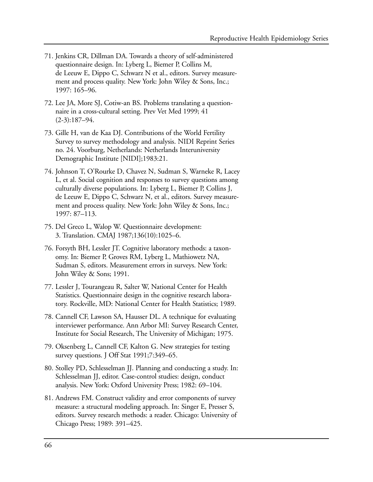- 71. Jenkins CR, Dillman DA. Towards a theory of self-administered questionnaire design. In: Lyberg L, Biemer P, Collins M, de Leeuw E, Dippo C, Schwarz N et al., editors. Survey measurement and process quality. New York: John Wiley & Sons, Inc.; 1997: 165–96.
- 72. Lee JA, More SJ, Cotiw-an BS. Problems translating a questionnaire in a cross-cultural setting. Prev Vet Med 1999; 41 (2-3):187–94.
- 73. Gille H, van de Kaa DJ. Contributions of the World Fertility Survey to survey methodology and analysis. NIDI Reprint Series no. 24. Voorburg, Netherlands: Netherlands Interuniversity Demographic Institute [NIDI];1983:21.
- 74. Johnson T, O'Rourke D, Chavez N, Sudman S, Warneke R, Lacey L, et al. Social cognition and responses to survey questions among culturally diverse populations. In: Lyberg L, Biemer P, Collins J, de Leeuw E, Dippo C, Schwarz N, et al., editors. Survey measurement and process quality. New York: John Wiley & Sons, Inc.; 1997: 87–113.
- 75. Del Greco L, Walop W. Questionnaire development: 3. Translation. CMAJ 1987;136(10):1025–6.
- 76. Forsyth BH, Lessler JT. Cognitive laboratory methods: a taxonomy. In: Biemer P, Groves RM, Lyberg L, Mathiowetz NA, Sudman S, editors. Measurement errors in surveys. New York: John Wiley & Sons; 1991.
- 77. Lessler J, Tourangeau R, Salter W, National Center for Health Statistics. Questionnaire design in the cognitive research laboratory. Rockville, MD: National Center for Health Statistics; 1989.
- 78. Cannell CF, Lawson SA, Hausser DL. A technique for evaluating interviewer performance. Ann Arbor MI: Survey Research Center, Institute for Social Research, The University of Michigan; 1975.
- 79. Oksenberg L, Cannell CF, Kalton G. New strategies for testing survey questions. J Off Stat 1991;7:349–65.
- 80. Stolley PD, Schlesselman JJ. Planning and conducting a study. In: Schlesselman JJ, editor. Case-control studies: design, conduct analysis. New York: Oxford University Press; 1982: 69–104.
- 81. Andrews FM. Construct validity and error components of survey measure: a structural modeling approach. In: Singer E, Presser S, editors. Survey research methods: a reader. Chicago: University of Chicago Press; 1989: 391–425.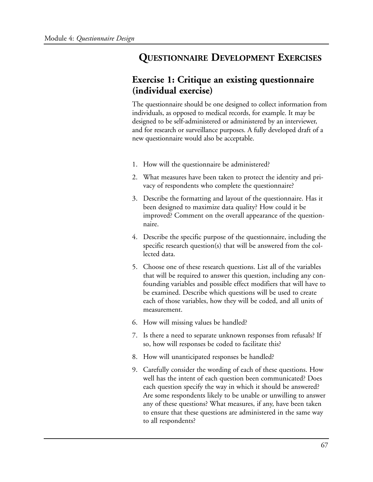## **QUESTIONNAIRE DEVELOPMENT EXERCISES**

## **Exercise 1: Critique an existing questionnaire (individual exercise)**

The questionnaire should be one designed to collect information from individuals, as opposed to medical records, for example. It may be designed to be self-administered or administered by an interviewer, and for research or surveillance purposes. A fully developed draft of a new questionnaire would also be acceptable.

- 1. How will the questionnaire be administered?
- 2. What measures have been taken to protect the identity and privacy of respondents who complete the questionnaire?
- 3. Describe the formatting and layout of the questionnaire. Has it been designed to maximize data quality? How could it be improved? Comment on the overall appearance of the questionnaire.
- 4. Describe the specific purpose of the questionnaire, including the specific research question(s) that will be answered from the collected data.
- 5. Choose one of these research questions. List all of the variables that will be required to answer this question, including any confounding variables and possible effect modifiers that will have to be examined. Describe which questions will be used to create each of those variables, how they will be coded, and all units of measurement.
- 6. How will missing values be handled?
- 7. Is there a need to separate unknown responses from refusals? If so, how will responses be coded to facilitate this?
- 8. How will unanticipated responses be handled?
- 9. Carefully consider the wording of each of these questions. How well has the intent of each question been communicated? Does each question specify the way in which it should be answered? Are some respondents likely to be unable or unwilling to answer any of these questions? What measures, if any, have been taken to ensure that these questions are administered in the same way to all respondents?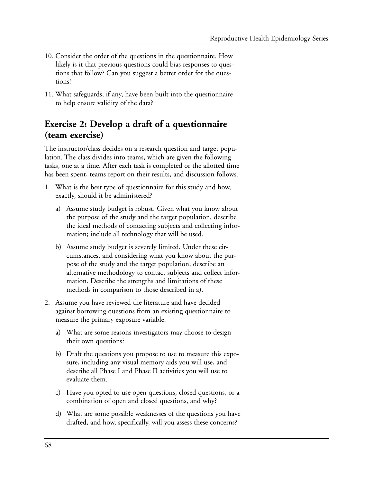- 10. Consider the order of the questions in the questionnaire. How likely is it that previous questions could bias responses to questions that follow? Can you suggest a better order for the questions?
- 11. What safeguards, if any, have been built into the questionnaire to help ensure validity of the data?

## **Exercise 2: Develop a draft of a questionnaire (team exercise)**

The instructor/class decides on a research question and target population. The class divides into teams, which are given the following tasks, one at a time. After each task is completed or the allotted time has been spent, teams report on their results, and discussion follows.

- 1. What is the best type of questionnaire for this study and how, exactly, should it be administered?
	- a) Assume study budget is robust. Given what you know about the purpose of the study and the target population, describe the ideal methods of contacting subjects and collecting information; include all technology that will be used.
	- b) Assume study budget is severely limited. Under these circumstances, and considering what you know about the purpose of the study and the target population, describe an alternative methodology to contact subjects and collect information. Describe the strengths and limitations of these methods in comparison to those described in a).
- 2. Assume you have reviewed the literature and have decided against borrowing questions from an existing questionnaire to measure the primary exposure variable.
	- a) What are some reasons investigators may choose to design their own questions?
	- b) Draft the questions you propose to use to measure this exposure, including any visual memory aids you will use, and describe all Phase I and Phase II activities you will use to evaluate them.
	- c) Have you opted to use open questions, closed questions, or a combination of open and closed questions, and why?
	- d) What are some possible weaknesses of the questions you have drafted, and how, specifically, will you assess these concerns?